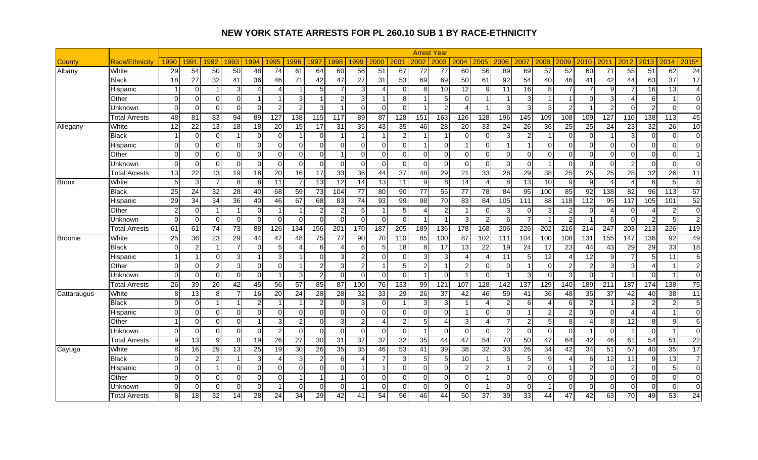|               |                       |                 |                 |                 |                 |                        |                 |                |                 |                          |                          |                 |                |                 | <b>Arrest Year</b>      |                          |                |                 |                 |                 |                          |                 |                  |                  |                  |                  |                 |
|---------------|-----------------------|-----------------|-----------------|-----------------|-----------------|------------------------|-----------------|----------------|-----------------|--------------------------|--------------------------|-----------------|----------------|-----------------|-------------------------|--------------------------|----------------|-----------------|-----------------|-----------------|--------------------------|-----------------|------------------|------------------|------------------|------------------|-----------------|
| County        | <b>Race/Ethnicity</b> | 1990            | 1991            | 1992            | 1993            | 994                    | 1995            | 1996           | 1997            | 1998                     | 1999                     | 2000            | 2001           | 2002            | 2003                    | 2004                     | 2005           | 2006            | 2007            | 2008            | 2009                     | 2010            | 2011             | 2012             | 2013             | 2014             | 2015*           |
| Albany        | White                 | 29              | 54              | 50              | 50              | 48                     | $\overline{74}$ | 61             | 64              | $\overline{60}$          | $\overline{56}$          | 51              | 67             | 72              | 77                      | 60                       | 56             | 89              | 69              | $\overline{57}$ | 52                       | 60              | 71               | 55               | 51               | 62               | $\overline{24}$ |
|               | Black                 | 18              | 27              | 32              | 41              | 36                     | 46              | 71             | 42              | 47                       | 27                       | 31              | 53             | 69              | 69                      | 50                       | 61             | 92              | 54              | 40              | 46                       | 41              | 42               | 44               | 63               | 37               | 17              |
|               | Hispanic              |                 | $\Omega$        |                 | 3               | $\boldsymbol{\Lambda}$ | 4               |                |                 | $\overline{7}$           | 3                        | 4               | $\Omega$       | 8               | 10                      | $\overline{12}$          | 9              | 11              | $\overline{16}$ | 8               | 7                        |                 | 9                |                  | 16               | $\overline{13}$  | $\overline{4}$  |
|               | Other                 | $\Omega$        | $\Omega$        | $\Omega$        | $\Omega$        |                        |                 | 3              |                 | $\overline{2}$           | 3                        |                 | 8              |                 | $\sqrt{5}$              | $\Omega$                 |                |                 | 3               |                 | -1                       | 0               | 3                |                  | 6                | $\overline{1}$   | $\Omega$        |
|               | Unknown               | $\Omega$        | $\Omega$        | $\Omega$        | $\Omega$        | $\Omega$               | $\overline{2}$  | $\overline{2}$ |                 | $\overline{\phantom{a}}$ | $\Omega$                 | $\Omega$        | $\Omega$       |                 | $\overline{2}$          | $\boldsymbol{\varDelta}$ |                | 3               | 3               | 3               | $\mathcal{P}$            |                 | $\overline{2}$   | $\Omega$         | $\overline{2}$   | $\mathbf 0$      | $\Omega$        |
|               | Total Arrests         | 48              | 81              | 83              | 94              | 89                     | 127             | 138            | 115             | 117                      | 89                       | 87              | 128            | 151             | 163                     | 126                      | 128            | 196             | 145             | 109             | 108                      | 109             | 127              | 110              | 138              | 113              | 45              |
| Allegany      | White                 | 12              | 22              | 13              | 18              | 18                     | 20              | 15             | 17              | 31                       | 35                       | 43              | 35             | 46              | 28                      | 20                       | 33             | 24              | 26              | 36              | 25                       | 25              | $\overline{24}$  | 23               | 32               | 26               | 10              |
|               | <b>Black</b>          |                 | $\Omega$        | $\Omega$        | 1               | $\Omega$               | $\mathbf 0$     | $\overline{1}$ | $\Omega$        | 1                        | $\overline{\mathbf{1}}$  | $\mathbf{1}$    | $\overline{a}$ |                 | $\overline{1}$          | $\Omega$                 | $\overline{0}$ | 3               | 2               |                 | 0                        | $\Omega$        |                  | 3                | $\mathbf 0$      | $\mathbf 0$      | $\overline{0}$  |
|               | Hispanic              | $\mathbf 0$     | $\Omega$        | $\Omega$        | $\Omega$        | $\Omega$               | $\Omega$        | $\Omega$       | $\Omega$        | $\Omega$                 | $\Omega$                 | $\overline{0}$  | $\Omega$       |                 | $\Omega$                | $\blacktriangleleft$     | $\overline{0}$ | $\overline{1}$  |                 | $\mathbf 0$     | $\Omega$                 | $\Omega$        | $\Omega$         | $\Omega$         | $\Omega$         | $\mathbf 0$      | $\Omega$        |
|               | Other                 | $\mathbf 0$     | $\Omega$        | $\Omega$        | $\Omega$        | $\Omega$               | $\mathbf 0$     | $\overline{0}$ | $\Omega$        | -1                       | $\mathbf 0$              | $\overline{0}$  | $\overline{0}$ | $\Omega$        | $\Omega$                | 0                        | $\overline{0}$ | $\overline{0}$  | $\Omega$        | $\mathbf 0$     | 0                        | $\Omega$        | $\Omega$         | $\Omega$         | $\mathbf 0$      | 0                | $\overline{1}$  |
|               | Unknown               | $\Omega$        | $\Omega$        | $\Omega$        | $\Omega$        | $\Omega$               | $\Omega$        | $\Omega$       | ∩               | $\Omega$                 | $\Omega$                 | $\mathbf{O}$    | $\Omega$       | $\Omega$        | $\Omega$                | $\Omega$                 | $\Omega$       | $\Omega$        | $\Omega$        |                 | $\Omega$                 | $\Omega$        | $\Omega$         | $\mathcal{P}$    | $\Omega$         | $\Omega$         | $\Omega$        |
|               | Total Arrests         | $\overline{13}$ | 22              | 13              | 19              | 18                     | 20              | 16             | 17              | 33                       | 36                       | 44              | 37             | 48              | 29                      | 21                       | 33             | $\overline{28}$ | 29              | $\overline{38}$ | $\overline{25}$          | 25              | 25               | 28               | 32               | 26               | 11              |
| <b>Bronx</b>  | White                 | 5               | 3               | $\overline{7}$  | 8               | 8                      | 11              | $\overline{7}$ | $\overline{13}$ | 12                       | 14                       | 13              | 11             | 9               | 8                       | 14                       | 4              | 8               | $\overline{13}$ | 10              | 9                        | 9               | $\Delta$         | 4                | 6                | 5                | 8 <sup>1</sup>  |
|               | <b>Black</b>          | 25              | 24              | 32              | 28              | 40                     | 68              | 59             | 73              | 104                      | 77                       | 80              | 90             | 77              | 55                      | 77                       | 78             | 84              | 95              | 100             | 85                       | 92              | 138              | 82               | 96               | 113              | 57              |
|               | Hispanic              | 29              | $\overline{34}$ | 34              | $\overline{36}$ | 40                     | 46              | 67             | 68              | 83                       | $\overline{74}$          | 93              | 99             | $\overline{98}$ | 70                      | 83                       | 84             | 105             | 111             | $\overline{88}$ | 118                      | 112             | $\overline{95}$  | $\overline{117}$ | 105              | 101              | 52              |
|               | Other                 | $\overline{2}$  | $\Omega$        |                 | -1              | $\Omega$               |                 |                |                 | $\overline{2}$           | 5                        | -1              | 5 <sub>5</sub> |                 | $\overline{2}$          | $\overline{\mathbf{1}}$  | $\overline{0}$ | 3               | $\Omega$        | 3               | $\overline{2}$           | $\Omega$        | Δ                | $\Omega$         | 4                | $\overline{2}$   | $\overline{0}$  |
|               | Unknown               | $\Omega$        | $\Omega$        | $\Omega$        | $\Omega$        | $\Omega$               | $\Omega$        | $\Omega$       | $\Omega$        | $\Omega$                 | $\Omega$                 | $\overline{0}$  | $\Omega$       |                 | $\overline{\mathbf{1}}$ | 3                        | $\overline{2}$ | 6               |                 | $\overline{1}$  | $\overline{2}$           | $\overline{1}$  | 6                | $\Omega$         | $\overline{a}$   | 5                | 2 <sub>l</sub>  |
|               | Total Arrests         | 61              | 61              | $\overline{74}$ | 73              | 88                     | 126             | 134            | 156             | 201                      | 170                      | 187             | 205            | 189             | 136                     | 178                      | 168            | 206             | 226             | 202             | $\overline{216}$         | 214             | $\overline{247}$ | 203              | $\overline{213}$ | 226              | 119             |
| <b>Broome</b> | White                 | $\overline{25}$ | 36              | 23              | $\overline{29}$ | 44                     | 47              | 48             | 75              | $\overline{77}$          | 90                       | 70              | 110            | 85              | 100                     | 87                       | 102            | 111             | 104             | 100             | 108                      | 131             | 155              | 147              | 136              | 92               | 49              |
|               | <b>Black</b>          | $\Omega$        | $\overline{2}$  |                 |                 | $\Omega$               | 5               | 4              | 6               |                          | 6                        | 5               | $\frac{1}{8}$  |                 | 17                      | $\overline{13}$          | 22             | 19              | 24              | 17              | 23                       | 44              | 43               | 29               | 29               | 33               | 18              |
|               | Hispanic              | $\overline{1}$  | $\overline{1}$  | $\Omega$        | 3               |                        | 3               |                | U               | 3                        | $\overline{2}$           | $\Omega$        | $\Omega$       | 3               | 3                       | Δ                        | 4              | 11              | 5               | 12              | 4                        | 12              | 9                |                  | 5                | 11               | $6 \mid$        |
|               | Other                 | $\mathbf 0$     | $\Omega$        | 21              | $\overline{3}$  | $\Omega$               | $\mathbf 0$     | $\overline{1}$ | っ               | 3                        | $\overline{c}$           | $\mathbf{1}$    | 5 <sub>5</sub> | $\overline{2}$  | $\overline{1}$          | $\overline{2}$           | $\overline{0}$ | $\overline{0}$  |                 | $\mathbf 0$     | $\overline{2}$           | $\overline{2}$  | $\mathbf{3}$     | 3                | $\overline{4}$   | $\overline{1}$   | $\overline{2}$  |
|               | Unknown               | $\Omega$        | $\Omega$        | $\Omega$        | $\Omega$        | $\Omega$               |                 | 3              |                 | $\Omega$                 | $\Omega$                 | $\overline{0}$  | $\Omega$       |                 | $\Omega$                | $\blacktriangleleft$     | $\Omega$       |                 | 3               | $\mathbf 0$     | 3                        | $\Omega$        |                  |                  | $\Omega$         | -1               | $\Omega$        |
|               | <b>Total Arrests</b>  | 26              | 39              | 26              | 42              | 45                     | 56              | 57             | 85              | 87                       | 100                      | 76              | 133            | 99              | 121                     | 107                      | 128            | 142             | 137             | 129             | 140                      | 189             | 211              | 187              | 174              | 138              | 75              |
| Cattaraugus   | White                 | 8               | 13              | 8 <sup>1</sup>  | 7               | 16                     | 20              | 24             | 28              | 28                       | 32                       | 33              | 29             | $\overline{26}$ | 37                      | 42                       | 46             | 59              | 41              | 36              | 48                       | $\overline{35}$ | $\overline{37}$  | 42               | 40               | 38               | 11              |
|               | <b>Black</b>          | $\Omega$        | $\Omega$        |                 | 1               | $\overline{2}$         |                 | -1             |                 | $\Omega$                 | 3                        | $\overline{0}$  | $\overline{1}$ | 3               | 3                       | $\blacktriangleleft$     | 4              | $\overline{2}$  | 6               | $\overline{4}$  | 6                        | 2               |                  | $\overline{2}$   | $\overline{2}$   | $\overline{2}$   | 5 <sub>l</sub>  |
|               | Hispanic              | $\Omega$        | $\Omega$        | $\Omega$        | $\Omega$        | $\Omega$               | 0               | $\Omega$       | ∩               | $\Omega$                 | $\Omega$                 | $\overline{0}$  | $\Omega$       | ∩               | $\Omega$                | $\overline{\mathbf{1}}$  | $\overline{0}$ | $\Omega$        |                 | $\overline{2}$  | $\overline{2}$           | $\Omega$        | $\Omega$         | 4                | $\overline{4}$   | -1               | $\Omega$        |
|               | Other                 | $\overline{1}$  | $\Omega$        | $\Omega$        | $\Omega$        |                        | 3               | $\overline{2}$ | $\Omega$        | 3                        | $\overline{2}$           | $\overline{4}$  | $\overline{2}$ |                 | $\boldsymbol{\Lambda}$  | 3                        | 4              | $\overline{7}$  | $\mathcal{P}$   | $\overline{5}$  | 8                        | 4               | 8                | 12               | 8                | $\boldsymbol{9}$ | 6               |
|               | Unknown               | $\Omega$        | $\Omega$        | $\Omega$        | $\Omega$        | $\Omega$               | $\overline{c}$  | $\Omega$       | U               | $\Omega$                 | $\Omega$                 | $\Omega$        | $\Omega$       |                 | $\Omega$                | $\Omega$                 | $\Omega$       | $\overline{2}$  | $\Omega$        | $\Omega$        | $\Omega$                 |                 | $\Omega$         |                  | $\Omega$         | $\overline{1}$   | $\Omega$        |
|               | <b>Total Arrests</b>  | 9               | 13              | $\mathfrak{g}$  | 8               | 19                     | $\overline{26}$ | 27             | $\overline{30}$ | 31                       | 37                       | $\overline{37}$ | 32             | 35              | 44                      | 47                       | 54             | $\overline{70}$ | 50              | $\overline{47}$ | 64                       | 42              | 46               | 61               | 54               | 51               | $\overline{22}$ |
| Cayuga        | White                 | 8               | 16              | 29              | 13              | 25                     | 19              | 30             | 26              | 35                       | 35                       | 46              | 53             | 41              | 39                      | 38                       | 32             | 33              | 26              | 34              | 42                       | 34              | 51               | 57               | 40               | 35               | 17              |
|               | Black                 | $\Omega$        | $\overline{2}$  | $\mathfrak{p}$  | -1              | 3                      | $\overline{4}$  | 3              |                 | 6                        | $\boldsymbol{\varDelta}$ |                 | 3              |                 | 5                       | $\overline{10}$          |                | 5               | 5               | 9               | $\boldsymbol{\varDelta}$ | 6               | 12               | 11               | 9                | $\overline{13}$  | $\overline{7}$  |
|               | Hispanic              | $\mathbf 0$     | $\Omega$        |                 | $\Omega$        | $\Omega$               | $\mathbf 0$     | $\overline{0}$ | ∩               | $\Omega$                 |                          | -1              | $\overline{0}$ | $\Omega$        | $\mathbf 0$             | $\overline{2}$           | $\overline{a}$ | $\overline{1}$  | 2               | $\mathbf 0$     |                          | 2               | $\mathbf 0$      | $\overline{2}$   | $\mathbf 0$      | 5                | $\overline{0}$  |
|               | Other                 | $\Omega$        | $\Omega$        | $\Omega$        | $\Omega$        | $\Omega$               | $\overline{0}$  |                |                 | 1                        | $\Omega$                 | $\overline{0}$  | $\Omega$       | $\Omega$        | $\Omega$                | $\Omega$                 |                | $\Omega$        | $\Omega$        | $\mathbf 0$     | $\Omega$                 | $\Omega$        | $\Omega$         | $\Omega$         | $\mathbf 0$      | $\mathbf 0$      | $\Omega$        |
|               | Jnknown               | $\mathbf 0$     | $\overline{0}$  | $\Omega$        | $\overline{0}$  | $\Omega$               |                 | $\overline{0}$ | $\Omega$        | $\overline{0}$           |                          | $\overline{0}$  | $\overline{0}$ | $\Omega$        | $\Omega$                | $\mathbf 0$              |                | $\mathbf 0$     | $\Omega$        |                 | $\Omega$                 | 0               | $\overline{0}$   | $\overline{0}$   | $\mathbf 0$      | 0                | $\overline{0}$  |
|               | <b>Total Arrests</b>  | 8               | 18              | 32              | 14              | 28                     | 24              | 34             | 29              | 42                       | 41                       | 54              | 56             | 46              | 44                      | 50                       | 37             | 39              | 33              | 44              | 47                       | 42              | 63               | 70               | 49               | 53               | $\overline{24}$ |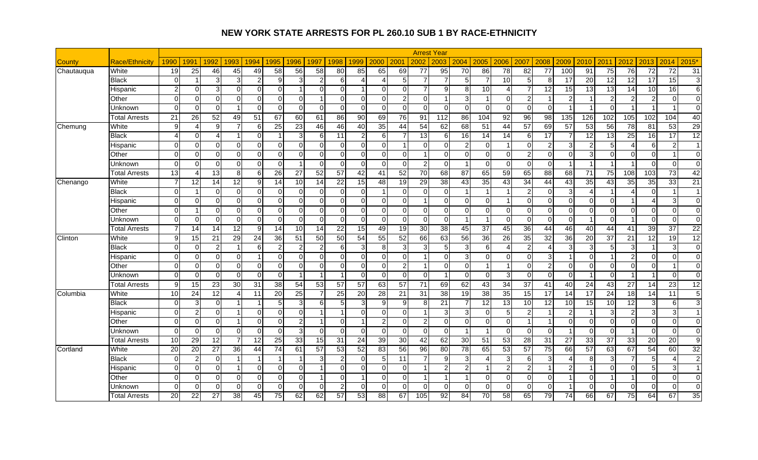|            |                       |                        |                 |                 |                 |                |                |                 |          |                 |                         |                 |                |                 | <b>Arrest Year</b>      |                      |                 |                |                 |                 |                         |                      |                 |                 |                |                 |                |
|------------|-----------------------|------------------------|-----------------|-----------------|-----------------|----------------|----------------|-----------------|----------|-----------------|-------------------------|-----------------|----------------|-----------------|-------------------------|----------------------|-----------------|----------------|-----------------|-----------------|-------------------------|----------------------|-----------------|-----------------|----------------|-----------------|----------------|
| County     | <b>Race/Ethnicity</b> | 1990                   | 1991            | 1992            | 1993            | 1994           | 1995           | 1996            | 1997     | 1998            | 1999                    | 2000            | 2001           | 2002            | 2003                    | 2004                 | 2005            | 2006           | 2007            | 2008            | 2009                    | 2010                 | 2011            | 2012            | 2013           | 2014            | 2015*          |
| Chautauqua | White                 | 19                     | 25              | 46              | 45              | 49             | 58             | 56              | 58       | 80              | 85                      | 65              | 69             | 77              | 95                      | $\overline{70}$      | 86              | 78             | $\overline{82}$ | 77              | 100                     | 91                   | $\overline{75}$ | $\overline{76}$ | 72             | 72              | 31             |
|            | <b>Black</b>          | $\Omega$               | -1              | 3               | 3               | $\overline{2}$ | 9              | 3               |          | 6               | Δ                       | Δ               | 5 <sub>l</sub> |                 | $\overline{7}$          | 5                    | 7               | 10             | 5               | 8               | 17                      | 20                   | 12              | 12              | 17             | 15              | 3 <sup>l</sup> |
|            | Hispanic              | $\overline{2}$         | $\Omega$        | $\overline{3}$  | $\Omega$        | $\Omega$       | $\Omega$       |                 | U        | $\Omega$        | -1                      | $\Omega$        | $\Omega$       |                 | 9                       | 8                    | 10              | $\overline{4}$ |                 | 12              | 15                      | 13                   | 13              | 14              | 10             | 16              | $6 \mid$       |
|            | Other                 | $\Omega$               | $\Omega$        | $\Omega$        | $\Omega$        | $\Omega$       | $\Omega$       | $\Omega$        |          | $\Omega$        | $\Omega$                | $\Omega$        | $\mathbf{2}$   | $\Omega$        |                         | 3                    |                 | $\Omega$       |                 |                 | 2                       |                      | $\overline{2}$  | $\mathfrak{p}$  | $\overline{c}$ | $\Omega$        | $\Omega$       |
|            | Unknown               | $\Omega$               | $\Omega$        | $\Omega$        | $\overline{1}$  | $\Omega$       | $\Omega$       | $\Omega$        | $\Omega$ | $\Omega$        | $\Omega$                | $\Omega$        | $\Omega$       | $\Omega$        | $\Omega$                | $\Omega$             | $\Omega$        | $\Omega$       | $\Omega$        | $\Omega$        | $\overline{\mathbf{1}}$ |                      | $\Omega$        |                 |                | 1               | $\Omega$       |
|            | Total Arrests         | 21                     | 26              | 52              | 49              | 51             | 67             | 60              | 61       | 86              | 90                      | 69              | 76             | 91              | 112                     | 86                   | 104             | 92             | 96              | 98              | 135                     | 126                  | 102             | 105             | 102            | 104             | 40             |
| Chemung    | White                 | 9                      | Δ               | $\overline{9}$  |                 | 6              | 25             | 23              | 46       | 46              | 40                      | 35              | 44             | 54              | 62                      | 68                   | 51              | 44             | 57              | 69              | 57                      | $\overline{53}$      | 56              | 78              | 81             | 53              | 29             |
|            | <b>Black</b>          | $\boldsymbol{\Lambda}$ | $\Omega$        | Δ               | 1               | $\Omega$       |                | $\mathbf{3}$    | 6        | 11              | $\overline{2}$          | 6 <sup>1</sup>  |                | $\overline{13}$ | 6                       | 16                   | 14              | 14             | 6               | 17              |                         | 12                   | 13              | 25              | 16             | 17              | 12             |
|            | Hispanic              | $\mathbf 0$            | $\Omega$        | $\Omega$        | $\Omega$        | $\Omega$       | $\mathbf 0$    | $\Omega$        | $\Omega$ | $\Omega$        | $\Omega$                | $\overline{0}$  |                | $\Omega$        | $\Omega$                | $\overline{2}$       | $\overline{0}$  | $\overline{1}$ | $\Omega$        | $\overline{2}$  | 3                       | $\overline{2}$       | 5               |                 | 6              | $\overline{2}$  | $\overline{1}$ |
|            | Other                 | $\mathbf 0$            | $\Omega$        | $\Omega$        | $\Omega$        | $\Omega$       | $\mathbf 0$    | $\overline{0}$  | ∩        | $\overline{0}$  | $\mathbf 0$             | $\overline{0}$  | $\overline{0}$ |                 | $\Omega$                | 0                    | $\overline{0}$  | $\overline{0}$ | 2               | $\mathbf 0$     | 0                       | 3                    | $\Omega$        | $\Omega$        | $\mathbf 0$    | $\overline{1}$  | $\Omega$       |
|            | Unknown               | $\Omega$               | $\Omega$        | $\Omega$        | $\Omega$        | $\Omega$       | $\Omega$       | $\overline{1}$  | $\Omega$ | $\Omega$        | $\Omega$                | $\overline{0}$  | $\Omega$       | $\mathcal{P}$   | $\Omega$                | $\overline{1}$       | $\Omega$        | $\Omega$       | $\Omega$        | $\Omega$        | $\overline{1}$          | $\overline{ }$       |                 |                 | $\Omega$       | $\Omega$        | $\Omega$       |
|            | Total Arrests         | $\overline{13}$        | 4               | 13              | 8 <sup>1</sup>  | 6              | 26             | $\overline{27}$ | 52       | $\overline{57}$ | 42                      | 41              | 52             | $\overline{70}$ | $\overline{68}$         | 87                   | 65              | 59             | 65              | 88              | 68                      | 71                   | 75              | 108             | 103            | $\overline{73}$ | 42             |
| Chenango   | White                 | $\overline{7}$         | 12              | $\overline{14}$ | 12              | 9              | 14             | 10              | 14       | $\overline{22}$ | 15                      | $\overline{48}$ | 19             | 29              | 38                      | 43                   | 35              | 43             | $\overline{34}$ | 44              | 43                      | $\overline{35}$      | 43              | 35              | 35             | $\overline{33}$ | 21             |
|            | <b>Black</b>          | $\Omega$               | -1              | $\Omega$        | $\Omega$        | $\Omega$       | $\mathbf 0$    | 0               | U        | $\Omega$        | $\mathbf 0$             | 1               | $\Omega$       | $\Omega$        | $\Omega$                | $\blacktriangleleft$ | 1               | $\overline{1}$ | $\mathcal{P}$   | $\mathbf 0$     | 3                       | 4                    |                 |                 | $\Omega$       | -1              | $\overline{1}$ |
|            | Hispanic              | $\Omega$               | $\Omega$        | $\Omega$        | $\Omega$        | $\Omega$       | $\Omega$       | $\Omega$        | $\Omega$ | $\Omega$        | $\Omega$                | $\overline{0}$  | $\Omega$       |                 | $\Omega$                | $\Omega$             | $\overline{0}$  | $\overline{1}$ | $\Omega$        | $\Omega$        | $\Omega$                | $\Omega$             | $\Omega$        |                 | $\overline{4}$ | 3               | $\Omega$       |
|            | Other                 | $\Omega$               | 1               | $\Omega$        | $\Omega$        | $\Omega$       | $\mathbf 0$    | $\overline{0}$  | $\Omega$ | $\Omega$        | $\Omega$                | $\overline{0}$  | $\overline{0}$ | $\Omega$        | $\Omega$                | $\Omega$             | $\overline{0}$  | $\Omega$       | $\Omega$        | $\mathbf 0$     | 0                       | $\Omega$             | $\Omega$        | $\Omega$        | $\Omega$       | $\mathbf 0$     | $\Omega$       |
|            | Unknown               | $\Omega$               | $\Omega$        | $\Omega$        | $\Omega$        | $\Omega$       | $\Omega$       | $\Omega$        | $\Omega$ | $\Omega$        | $\Omega$                | $\overline{0}$  | $\Omega$       | $\Omega$        | $\Omega$                | $\overline{1}$       | 1               | $\Omega$       | $\Omega$        | $\Omega$        | $\Omega$                | $\blacktriangleleft$ | $\Omega$        | -1              | $\Omega$       | $\mathbf 0$     | $\Omega$       |
|            | <b>Total Arrests</b>  |                        | 14              | 14              | $\overline{12}$ | 9              | 14             | 10              | 14       | 22              | 15                      | 49              | 19             | 30              | 38                      | 45                   | 37              | 45             | 36              | 44              | 46                      | 40                   | 44              | 41              | 39             | $\overline{37}$ | 22             |
| Clinton    | White                 | 9                      | 15              | 21              | 29              | 24             | 36             | 51              | 50       | 50              | 54                      | 55              | 52             | 66              | 63                      | 56                   | 36              | 26             | $\overline{35}$ | $\overline{32}$ | 36                      | 20                   | 37              | 21              | 12             | $\overline{19}$ | 12             |
|            | <b>Black</b>          | $\Omega$               | $\Omega$        | $\overline{2}$  | 1               | 6              | $\overline{c}$ | $\overline{2}$  |          | 6               | 3                       | 8 <sup>1</sup>  | 3              |                 | $5\overline{)}$         | 3                    | 6               | $\overline{4}$ | $\mathcal{P}$   | $\overline{4}$  | 3                       | 3                    | 5               | 3               |                | 3               | $\overline{0}$ |
|            | Hispanic              | $\Omega$               | $\Omega$        | $\Omega$        | $\Omega$        |                | $\Omega$       | $\Omega$        | U        | $\Omega$        | $\Omega$                | $\overline{0}$  | $\Omega$       |                 | $\Omega$                | 3                    | $\overline{0}$  | $\Omega$       | $\Omega$        | $\mathbf 3$     | $\blacktriangleleft$    | $\Omega$             |                 | $\overline{2}$  | $\Omega$       | $\Omega$        | $\Omega$       |
|            | Other                 | $\mathbf 0$            | $\Omega$        | $\Omega$        | $\overline{0}$  | $\Omega$       | $\mathbf 0$    | $\overline{0}$  | $\Omega$ | $\overline{0}$  | $\mathbf 0$             | $\overline{0}$  | $\mathbf{2}$   |                 | $\Omega$                | $\Omega$             | 1               | $\overline{1}$ | $\Omega$        | $\overline{c}$  | 0                       | $\Omega$             | $\Omega$        | $\Omega$        | $\mathbf 0$    | $\overline{1}$  | $\Omega$       |
|            | Unknown               | $\Omega$               | $\Omega$        | $\Omega$        | $\Omega$        | $\Omega$       | $\Omega$       | $\overline{1}$  |          | -1              | $\Omega$                | $\overline{0}$  | $\overline{0}$ | $\Omega$        | $\overline{\mathbf{1}}$ | $\Omega$             | $\Omega$        | 3              | $\Omega$        | $\overline{0}$  | $\Omega$                | 1                    | $\Omega$        | 1               |                | $\mathbf 0$     | $\Omega$       |
|            | <b>Total Arrests</b>  | 9                      | 15              | 23              | 30              | 31             | 38             | 54              | 53       | 57              | 57                      | 63              | 57             | 71              | 69                      | 62                   | 43              | 34             | 37              | 41              | 40                      | 24                   | 43              | 27              | 14             | 23              | 12             |
| Columbia   | White                 | 10                     | 24              | 12              | Δ               | 11             | 20             | 25              |          | 25              | 20                      | 28              | 21             | 31              | 38                      | 19                   | $\overline{38}$ | 35             | 15              | $\overline{17}$ | 14                      | 17                   | 24              | 18              | 14             | 11              | 5 <sub>l</sub> |
|            | <b>Black</b>          | $\Omega$               | 3               | $\Omega$        |                 |                | 5              | $\overline{3}$  |          | 5               | 3                       | 9               | 9              | 8               | 21                      | $\overline{7}$       | 12              | 13             | 10              | 12              | 10                      | 15                   | 10              | 12              | $\mathbf{3}$   | 6               | 3 <sup>1</sup> |
|            | Hispanic              | $\Omega$               | $\overline{c}$  | ΩI              |                 | $\Omega$       | $\mathbf 0$    | $\Omega$        |          | 1               | $\Omega$                | $\overline{0}$  | $\Omega$       |                 | 3                       | 3                    | $\overline{0}$  | 5              |                 |                 | $\overline{2}$          |                      | 3               | 2               | $\sqrt{3}$     | 3               | $\overline{1}$ |
|            | Other                 | $\Omega$               | $\overline{0}$  | $\Omega$        | 1               | $\Omega$       | 0              | $\overline{2}$  |          | $\Omega$        | $\overline{\mathbf{1}}$ | $\overline{a}$  | $\overline{0}$ | $\mathcal{P}$   | $\mathbf 0$             | $\mathbf 0$          | $\overline{0}$  | $\overline{0}$ |                 |                 | $\Omega$                | $\Omega$             | $\overline{0}$  | $\Omega$        | $\mathbf 0$    | $\pmb{0}$       | $\Omega$       |
|            | Unknown               | $\Omega$               | $\Omega$        | $\Omega$        | $\Omega$        | $\Omega$       | $\Omega$       | $\mathbf{3}$    | U        | $\Omega$        | $\Omega$                | $\mathbf{O}$    | $\Omega$       | $\Omega$        | $\Omega$                | $\overline{1}$       | 1               | $\Omega$       | $\Omega$        | $\Omega$        | -1                      | $\Omega$             | $\Omega$        |                 | $\Omega$       | $\mathbf 0$     | $\Omega$       |
|            | <b>Total Arrests</b>  | 10                     | 29              | 12              | 7               | 12             | 25             | 33              | 15       | 31              | 24                      | 39              | 30             | 42              | 62                      | 30                   | 51              | 53             | 28              | 31              | 27                      | 33                   | 37              | 33              | 20             | $\overline{20}$ | $\overline{9}$ |
| Cortland   | White                 | 20                     | 20              | 27              | 36              | 44             | 74             | 61              | 57       | 53              | 52                      | 83              | 56             | 96              | 80                      | 78                   | 65              | 53             | 57              | 75              | 66                      | 57                   | 63              | 67              | 54             | 60              | 32             |
|            | <b>Black</b>          | $\Omega$               | $\overline{2}$  | $\Omega$        | -1              |                |                |                 |          | $\overline{2}$  | $\Omega$                | 5 <sup>5</sup>  | 11             |                 | 9                       | 3                    | 4               | 3              | 6               | $\mathbf{3}$    | Δ                       | 8                    | 3               |                 | 5              | 4               | 2 <sub>l</sub> |
|            | Hispanic              | $\mathbf 0$            | $\Omega$        | $\Omega$        | 1               | $\Omega$       | $\mathbf 0$    | $\overline{0}$  |          | $\Omega$        | $\Omega$                | $\overline{0}$  | $\overline{0}$ |                 | $\overline{2}$          | $\overline{2}$       |                 | 2              | 2               |                 |                         |                      | $\Omega$        | $\Omega$        | $\overline{5}$ | 3               | $\mathbf{1}$   |
|            | Other                 | $\Omega$               | $\Omega$        | $\Omega$        | $\Omega$        | $\Omega$       | $\mathbf 0$    | $\Omega$        |          | $\Omega$        |                         | $\overline{0}$  | $\overline{0}$ |                 | $\overline{\mathbf{1}}$ |                      | $\overline{0}$  | $\overline{0}$ | $\Omega$        | $\mathbf 0$     | $\overline{1}$          | $\Omega$             |                 |                 | $\Omega$       | $\mathbf 0$     | $\Omega$       |
|            | Jnknown               | $\mathbf 0$            | $\overline{0}$  | $\Omega$        | $\overline{0}$  | $\mathbf 0$    | $\mathbf 0$    | $\overline{0}$  | $\Omega$ | $\overline{2}$  | $\mathbf 0$             | $\overline{0}$  | $\overline{0}$ | ∩               | $\Omega$                | $\mathbf 0$          | $\overline{0}$  | $\overline{0}$ | $\Omega$        | $\mathbf 0$     |                         | $\Omega$             | $\overline{0}$  | $\overline{0}$  | $\mathbf 0$    | 0               | $\overline{0}$ |
|            | <b>Total Arrests</b>  | 20                     | $\overline{22}$ | 27              | 38              | 45             | 75             | 62              | 62       | 57              | 53                      | $\overline{88}$ | 67             | 105             | 92                      | 84                   | 70              | 58             | 65              | 79              | 74                      | 66                   | 67              | 75              | 64             | 67              | 35             |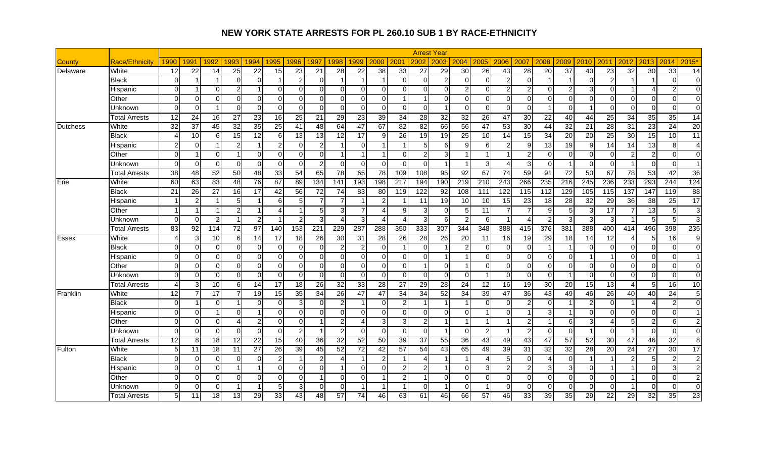|                 |                       |                        |                |                |                 |                |                |                 |          |                 |                        |                 |                |                 | <b>Arrest Year</b>      |                         |                  |                         |                 |                  |                      |                 |                        |                 |                  |                 |                |
|-----------------|-----------------------|------------------------|----------------|----------------|-----------------|----------------|----------------|-----------------|----------|-----------------|------------------------|-----------------|----------------|-----------------|-------------------------|-------------------------|------------------|-------------------------|-----------------|------------------|----------------------|-----------------|------------------------|-----------------|------------------|-----------------|----------------|
| County          | <b>Race/Ethnicity</b> | 1990                   | 1991           | 1992           | 1993            | 1994           | 1995           | 1996            | 1997     | 1998            | 1999                   | 2000            | 2001           | 2002            | 2003                    | 2004                    | 2005             | 2006                    | 2007            | 2008             | 2009                 | 2010            | 2011                   | 2012            | 2013             | 2014            | $2015*$        |
| Delaware        | White                 | 12                     | 22             | 14             | 25              | 22             | 15             | 23              | 21       | 28              | 22                     | 38              | 33             | 27              | 29                      | 30                      | 26               | 43                      | 28              | 20               | 37                   | 40              | 23                     | $\overline{32}$ | 30               | 33              | 14             |
|                 | Black                 | $\Omega$               |                |                | $\Omega$        | $\Omega$       |                | 2               | ∩        | -1              |                        |                 | $\Omega$       | $\Omega$        | $\overline{2}$          | $\Omega$                | $\Omega$         | $\overline{2}$          | $\Omega$        |                  |                      | U               | $\overline{2}$         |                 |                  | $\Omega$        | $\Omega$       |
|                 | Hispanic              | $\mathbf 0$            |                | $\Omega$       | $\overline{2}$  |                | $\mathbf 0$    | $\Omega$        | $\Omega$ | $\mathbf 0$     | $\Omega$               | $\overline{0}$  | $\Omega$       |                 | $\mathbf 0$             | $\overline{2}$          | $\overline{0}$   | $\overline{2}$          | 2               | $\mathbf 0$      | $\overline{2}$       | 3               | $\Omega$               |                 | $\overline{4}$   | $\overline{2}$  | $\overline{0}$ |
|                 | Other                 | $\Omega$               | $\Omega$       | $\Omega$       | $\Omega$        | $\Omega$       | $\Omega$       | $\Omega$        | $\Omega$ | $\Omega$        | $\Omega$               | $\overline{0}$  |                |                 | $\Omega$                | $\Omega$                | $\overline{0}$   | $\overline{0}$          | $\Omega$        | $\mathbf 0$      | $\Omega$             | $\Omega$        | $\Omega$               | $\Omega$        | $\mathbf 0$      | $\mathbf 0$     | $\Omega$       |
|                 | Unknown               | $\Omega$               | $\Omega$       |                | $\Omega$        | $\Omega$       | $\mathbf 0$    | $\Omega$        | $\Omega$ | $\mathbf 0$     | $\mathbf 0$            | $\overline{0}$  | $\overline{0}$ | $\Omega$        | $\overline{\mathbf{1}}$ | $\Omega$                | $\overline{0}$   | $\overline{0}$          | $\Omega$        | $\mathbf{1}$     | $\Omega$             | -1              | $\overline{0}$         | $\Omega$        | $\mathbf 0$      | $\mathbf 0$     | $\overline{0}$ |
|                 | Total Arrests         | 12                     | 24             | 16             | 27              | 23             | 16             | 25              | 21       | $\overline{29}$ | 23                     | 39              | 34             | $\overline{28}$ | $\overline{32}$         | 32                      | $\overline{26}$  | 47                      | $\overline{30}$ | $\overline{22}$  | 40                   | 44              | 25                     | $\overline{34}$ | $\overline{35}$  | 35              | 14             |
| <b>Dutchess</b> | White                 | 32                     | 37             | 45             | $\overline{32}$ | 35             | 25             | 41              | 48       | 64              | 47                     | 67              | 82             | 82              | 66                      | 56                      | 47               | 53                      | $\overline{30}$ | $\overline{44}$  | 32                   | 21              | 28                     | 31              | 23               | $\overline{24}$ | 20             |
|                 | <b>Black</b>          | 4                      | 10             | <sup>6</sup>   | 15              | 12             | 6              | 13              | 13       | 12              | 17                     | 9               | 26             | 19              | 19                      | 25                      | 10               | 14                      | 15              | 34               | 20                   | 20              | $\overline{25}$        | 30              | 15               | 10              | 11             |
|                 | Hispanic              | $\overline{2}$         | $\Omega$       |                | $\overline{2}$  |                | $\overline{c}$ | 0               |          |                 | $\Omega$               | 1               |                | 5               | 6                       | 9                       | 6                | $\overline{2}$          | 9               | $\overline{13}$  | 19                   | 9               | 14                     | 14              | 13               | 8               | $\overline{4}$ |
|                 | Other                 | $\Omega$               | -1             | $\Omega$       | -1              | $\Omega$       | $\Omega$       | $\Omega$        | $\Omega$ | -1              | -1                     | $\mathbf{1}$    | $\Omega$       | $\mathcal{P}$   | 3                       | $\blacktriangleleft$    | 1                | $\overline{\mathbf{1}}$ | $\mathcal{P}$   | $\mathbf 0$      | $\Omega$             | $\Omega$        | $\Omega$               | $\mathcal{P}$   | $\overline{2}$   | $\Omega$        | $\Omega$       |
|                 | Unknown               | $\Omega$               | $\Omega$       | $\Omega$       | $\Omega$        | $\Omega$       | $\Omega$       | $\Omega$        | 2        | $\Omega$        | $\Omega$               | $\Omega$        | $\Omega$       | $\Omega$        | $\overline{1}$          | $\overline{1}$          | 3                | $\overline{4}$          | $\overline{3}$  | $\mathbf 0$      | $\overline{1}$       | $\Omega$        | $\Omega$               | -1              | $\Omega$         | $\mathbf 0$     | $\overline{1}$ |
|                 | Total Arrests         | 38                     | 48             | 52             | 50              | 48             | 33             | 54              | 65       | $\overline{78}$ | 65                     | $\overline{78}$ | 109            | 108             | 95                      | 92                      | 67               | $\overline{74}$         | 59              | 91               | 72                   | 50              | 67                     | $\overline{78}$ | 53               | 42              | 36             |
| Erie            | White                 | 60                     | 63             | 83             | 48              | 76             | 87             | 89              | 134      | 141             | 193                    | 198             | 217            | 194             | 190                     | 219                     | 210              | $\overline{243}$        | 266             | 235              | 216                  | 245             | 236                    | 233             | 293              | 244             | 124            |
|                 | <b>Black</b>          | $\overline{21}$        | 26             | 27             | 16              | 17             | 42             | 56              | 72       | 74              | 83                     | 80              | 119            | 122             | $\overline{92}$         | 108                     | $\overline{111}$ | 122                     | 115             | $\overline{112}$ | 129                  | 105             | $\frac{115}{115}$      | 137             | $\overline{147}$ | 119             | 88             |
|                 | Hispanic              |                        | $\overline{2}$ |                | 5               |                | 6              | 5 <sub>l</sub>  |          | $\overline{7}$  |                        | $\overline{2}$  |                | 11              | 19                      | 10                      | 10               | 15                      | 23              | 18               | 28                   | $\overline{32}$ | 29                     | 36              | 38               | 25              | 17             |
|                 | Other                 | $\overline{1}$         | $\overline{1}$ |                | $\overline{2}$  |                | $\overline{4}$ | $\overline{1}$  | 5        | 3               | $\overline{7}$         | $\overline{4}$  | 9              | 3               | $\Omega$                | $\overline{5}$          | 11               | $\overline{7}$          |                 | 9                | 5                    | 3               | $\overline{17}$        |                 | 13               | 5               | 3 <sup>l</sup> |
|                 | Unknown               | $\Omega$               | $\Omega$       | $\overline{2}$ | $\overline{1}$  | 2              | -1             | $\overline{2}$  | 3        | Δ               | 3                      | $\overline{4}$  | $\overline{4}$ | 3               | 6                       | $\overline{2}$          | 6                | $\overline{1}$          | $\overline{4}$  | $\overline{c}$   | 3                    | 3               | 3                      |                 | 5                | 5               | 3 <sub>l</sub> |
|                 | <b>Total Arrests</b>  | 83                     | 92             | 114            | $\overline{72}$ | 97             | 140            | 153             | 221      | 229             | 287                    | 288             | 350            | 333             | 307                     | 344                     | 348              | 388                     | 415             | 376              | 381                  | 388             | 400                    | 414             | 496              | 398             | 235            |
| <b>Essex</b>    | White                 | $\boldsymbol{\Lambda}$ | 3              | 10             | $6 \mid$        | 14             | 17             | $\overline{18}$ | 26       | 30              | 31                     | $\overline{28}$ | 26             | 28              | 26                      | 20                      | 11               | 16                      | $\overline{19}$ | 29               | 18                   | 14              | 12                     | Δ               | 5                | 16              | 9 <sub>l</sub> |
|                 | <b>Black</b>          | $\Omega$               | $\Omega$       | $\Omega$       | $\Omega$        | $\Omega$       | $\Omega$       | $\Omega$        | $\Omega$ | $\overline{2}$  | $\overline{2}$         | $\overline{0}$  | 1              | $\Omega$        | $\overline{1}$          | $\overline{2}$          | $\overline{0}$   | $\Omega$                | $\Omega$        | $\mathbf 1$      | $\overline{1}$       | 0               | $\Omega$               | $\Omega$        | $\Omega$         | $\mathbf 0$     | $\Omega$       |
|                 | Hispanic              | $\mathbf 0$            | $\Omega$       | $\Omega$       | $\overline{0}$  | $\Omega$       | $\mathbf 0$    | 0               | $\Omega$ | $\overline{0}$  | $\Omega$               | $\overline{0}$  | $\overline{0}$ | $\Omega$        | $\overline{1}$          | $\blacktriangleleft$    | $\overline{0}$   | $\overline{0}$          | $\Omega$        | 0                | 0                    | -1              |                        | $\overline{0}$  | $\mathbf 0$      | 0               | $\mathbf{1}$   |
|                 | Other                 | $\Omega$               | $\Omega$       | $\Omega$       | $\Omega$        | $\Omega$       | $\mathbf 0$    | $\overline{0}$  | $\Omega$ | $\Omega$        | $\Omega$               | $\overline{0}$  | $\overline{0}$ |                 | $\Omega$                | $\overline{\mathbf{1}}$ | $\overline{0}$   | $\Omega$                | $\Omega$        | $\mathbf 0$      | $\mathbf 0$          | $\Omega$        | $\Omega$               | $\Omega$        | $\Omega$         | $\mathbf 0$     | $\Omega$       |
|                 | Unknown               | $\mathbf 0$            | $\Omega$       | $\Omega$       | $\Omega$        | $\Omega$       | $\mathbf 0$    | $\mathbf 0$     | $\Omega$ | $\mathbf 0$     | $\Omega$               | $\overline{0}$  | $\mathbf 0$    | $\Omega$        | $\Omega$                | 0                       | 1                | $\Omega$                | $\Omega$        | $\mathbf 0$      | $\overline{1}$       | $\Omega$        | $\Omega$               | $\Omega$        | $\mathbf 0$      | 0               | $\Omega$       |
|                 | <b>Total Arrests</b>  | $\boldsymbol{\Lambda}$ | 3              | 10             | 6               | 14             | 17             | 18              | 26       | 32              | 33                     | 28              | 27             | 29              | 28                      | 24                      | 12               | 16                      | 19              | 30               | 20                   | 15              | 13                     | Δ               | 5                | 16              | 10             |
| Franklin        | White                 | $\overline{12}$        | $\overline{7}$ | 17             | 7               | 19             | 15             | 35              | 34       | $\overline{26}$ | 47                     | 47              | 34             | 34              | 52                      | 34                      | 39               | 47                      | 36              | 43               | 49                   | 46              | 26                     | 40              | 40               | $\overline{24}$ | 5 <sub>l</sub> |
|                 | <b>Black</b>          | $\mathbf 0$            | 1              | $\Omega$       |                 | $\Omega$       | $\Omega$       | $\mathbf{3}$    | ∩        | $\overline{2}$  | -1                     | $\overline{0}$  | $\overline{2}$ |                 | $\overline{1}$          | $\blacktriangleleft$    | $\overline{0}$   | $\Omega$                | $\mathcal{P}$   | $\mathbf 0$      | $\blacktriangleleft$ | 2               | $\Omega$               |                 | $\overline{4}$   | $\sqrt{2}$      | $\Omega$       |
|                 | Hispanic              | $\mathbf 0$            | $\Omega$       |                | $\Omega$        |                | $\mathbf 0$    | $\overline{0}$  | U        | $\mathbf 0$     | $\Omega$               | $\overline{0}$  | $\overline{0}$ | ∩               | $\Omega$                | $\Omega$                | 1                | $\Omega$                |                 | 3                | -1                   | $\Omega$        | $\Omega$               | $\Omega$        | $\mathbf 0$      | $\mathbf 0$     | $\overline{1}$ |
|                 | Other                 | $\Omega$               | $\Omega$       | $\Omega$       | 4               | $\overline{2}$ | $\overline{0}$ | $\overline{0}$  |          | $\overline{a}$  | $\boldsymbol{\Lambda}$ | 3               | 3              | $\mathcal{P}$   | $\overline{1}$          | $\blacktriangleleft$    | 1                | $\overline{1}$          | $\mathfrak{p}$  |                  | 6                    | 3 <sup>1</sup>  | $\boldsymbol{\Lambda}$ | 5               | $\overline{2}$   | 6               | 2 <sub>l</sub> |
|                 | Unknown               | $\Omega$               | $\Omega$       | $\Omega$       | $\Omega$        | $\Omega$       | $\mathbf 0$    | $\overline{2}$  |          | 2               | $\Omega$               | $\overline{0}$  | $\overline{0}$ | $\Omega$        | $\overline{1}$          | $\Omega$                | $\overline{2}$   | $\overline{1}$          | $\mathcal{P}$   | $\overline{0}$   | $\mathbf 0$          |                 | $\Omega$               |                 | $\Omega$         | $\mathbf 0$     | $\Omega$       |
|                 | <b>Total Arrests</b>  | 12                     | 8              | 18             | 12              | 22             | 15             | 40              | 36       | $\overline{32}$ | $\overline{52}$        | 50              | 39             | 37              | 55                      | 36                      | 43               | 49                      | 43              | $\overline{47}$  | 57                   | 52              | $\overline{30}$        | 47              | 46               | 32              | 8 <sup>1</sup> |
| Fulton          | White                 | 5                      | 11             | 18             | 11              | 27             | 26             | 39              | 45       | 52              | $\overline{72}$        | 42              | 57             | 54              | 43                      | 65                      | 49               | 39                      | 31              | 32               | 32                   | 28              | 20                     | 24              | 27               | $\overline{30}$ | 17             |
|                 | <b>Black</b>          | $\Omega$               | $\Omega$       | $\Omega$       | $\Omega$        | $\Omega$       | $\overline{c}$ |                 |          | Δ               | -1                     | $\overline{a}$  |                |                 |                         | $\blacktriangleleft$    | 4                | 5                       | $\Omega$        | $\overline{4}$   | $\Omega$             | -1              |                        | 2               | 5                | $\overline{2}$  | 2 <sub>l</sub> |
|                 | Hispanic              | $\mathbf 0$            | $\Omega$       | $\Omega$       |                 |                | $\mathbf 0$    | $\overline{0}$  | $\Omega$ |                 | $\Omega$               | $\overline{0}$  | $\mathbf{2}$   |                 |                         | $\Omega$                | 3                | 2                       | 2               | 3                | 3                    | $\Omega$        |                        |                 | $\mathbf 0$      | 3               | $\overline{2}$ |
|                 | Other                 | $\Omega$               | $\Omega$       | $\Omega$       | $\Omega$        | $\Omega$       | $\mathbf 0$    | $\Omega$        |          | $\Omega$        | $\Omega$               |                 | $\overline{2}$ |                 | $\Omega$                | $\Omega$                | $\Omega$         | $\overline{0}$          | $\Omega$        | $\overline{0}$   | $\Omega$             | $\Omega$        | $\Omega$               |                 | $\mathbf 0$      | $\mathbf 0$     | $\overline{2}$ |
|                 | Jnknown               | $\mathbf 0$            | $\overline{0}$ | $\Omega$       |                 |                | 5              | 3               | $\Omega$ | $\overline{0}$  |                        |                 |                | $\Omega$        |                         | $\mathbf 0$             |                  | $\overline{0}$          | $\Omega$        | $\mathbf 0$      | 0                    | 0               | $\overline{0}$         |                 | $\mathbf 0$      | 0               | $\overline{0}$ |
|                 | <b>Total Arrests</b>  | 5                      | 11             | 18             | 13              | 29             | 33             | 43              | 48       | 57              | 74                     | 46              | 63             | 61              | 46                      | 66                      | 57               | 46                      | 33              | 39               | 35                   | 29              | $\overline{22}$        | 29              | 32               | 35              | 23             |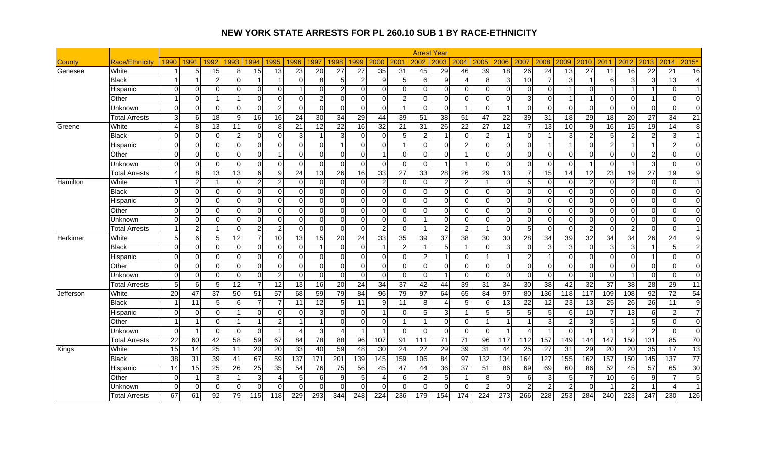|                  |                       |                 |                         |                |                 |                |                        |                  |                 |                  |                |                        |                |                | <b>Arrest Year</b>      |                          |                |                |                 |                  |                 |                |                 |                  |                  |                 |                      |
|------------------|-----------------------|-----------------|-------------------------|----------------|-----------------|----------------|------------------------|------------------|-----------------|------------------|----------------|------------------------|----------------|----------------|-------------------------|--------------------------|----------------|----------------|-----------------|------------------|-----------------|----------------|-----------------|------------------|------------------|-----------------|----------------------|
| County           | <b>Race/Ethnicity</b> | 1990            | 1991                    | 1992           | 1993            | 1994           | 1995                   | 1996             | 1997            | 1998             | 1999           | 2000                   | 2001           | 2002           | 2003                    | 2004                     | 2005           | 2006           | 2007            | 2008             | 2009            | 2010           | 2011            | 2012             | 2013             | 2014            | 2015*                |
| Genesee          | White                 |                 | 5                       | 15             | 8               | 15             | 13                     | 23               | 20              | 27               | 27             | 35                     | 31             | 45             | 29                      | 46                       | 39             | 18             | $\overline{26}$ | $\overline{24}$  | 13              | 27             | 11              | 16               | 22               | $\overline{21}$ | 16                   |
|                  | Black                 | -1              | -1                      | 2              | $\Omega$        |                |                        | $\Omega$         | 8               | 5                | $\overline{2}$ | 9                      | 5 <sub>l</sub> | 6              | 9                       | $\boldsymbol{\varDelta}$ | 8              | 3              | 10              | $\overline{7}$   | 3               |                | 6               | З                | 3                | 13              | $\overline{4}$       |
|                  | Hispanic              | $\Omega$        | $\Omega$                | $\Omega$       | $\Omega$        | $\Omega$       | $\Omega$               |                  | $\Omega$        | $\overline{2}$   | $\Omega$       | $\Omega$               | $\Omega$       | $\Omega$       | $\Omega$                | $\Omega$                 | $\Omega$       | $\Omega$       | $\Omega$        | $\mathbf 0$      | -1              | $\Omega$       |                 |                  | $\overline{1}$   | $\Omega$        | $\overline{1}$       |
|                  | Other                 | -1              | $\Omega$                |                | 1               | $\Omega$       | $\Omega$               | $\Omega$         |                 | $\Omega$         | $\Omega$       | $\Omega$               | $\overline{2}$ | $\Omega$       | $\Omega$                | $\Omega$                 | $\Omega$       | $\Omega$       | 3               | $\mathbf 0$      | -1              |                | $\Omega$        | $\Omega$         |                  | $\Omega$        | $\Omega$             |
|                  | Unknown               | $\Omega$        | $\Omega$                | $\Omega$       | $\Omega$        | $\Omega$       | $\overline{c}$         | $\Omega$         | $\Omega$        | $\Omega$         | $\Omega$       | $\Omega$               |                | $\Omega$       | $\Omega$                | $\overline{1}$           | $\Omega$       | $\overline{1}$ | $\Omega$        | $\overline{0}$   | $\Omega$        | $\Omega$       | $\Omega$        | $\Omega$         | $\Omega$         | $\mathbf 0$     | $\Omega$             |
|                  | Total Arrests         | $\mathbf{3}$    | 6                       | 18             | $\overline{9}$  | 16             | 16                     | 24               | 30              | 34               | 29             | 44                     | 39             | 51             | 38                      | 51                       | 47             | 22             | 39              | 31               | 18              | 29             | 18              | 20               | 27               | 34              | 21                   |
| Greene           | White                 | $\overline{4}$  | 8                       | 13             | 11              | 6              | 8                      | 21               | 12              | 22               | 16             | 32                     | 21             | 31             | 26                      | 22                       | 27             | 12             |                 | 13               | 10              | 9              | 16              | 15               | 19               | 14              | 8 <sup>1</sup>       |
|                  | <b>Black</b>          | $\mathbf 0$     | $\Omega$                | $\Omega$       | $\overline{2}$  | $\Omega$       | $\Omega$               | $\mathbf{3}$     |                 | 3                | $\mathbf 0$    | $\overline{0}$         | 5 <sub>5</sub> | $\overline{2}$ | $\overline{1}$          | $\Omega$                 | $\overline{2}$ | $\mathbf{1}$   | $\Omega$        |                  | 3               | $\overline{2}$ | 5 <sub>l</sub>  | 2                | $\overline{2}$   | 3               | $\overline{1}$       |
|                  | Hispanic              | $\mathbf 0$     | $\Omega$                | $\Omega$       | $\Omega$        | $\Omega$       | $\Omega$               | $\Omega$         | $\Omega$        | 1                | $\Omega$       | $\overline{0}$         | 1              | $\Omega$       | $\Omega$                | $\overline{2}$           | $\overline{0}$ | $\Omega$       | $\Omega$        | 1                | $\overline{1}$  | $\Omega$       | $\overline{2}$  |                  | $\overline{1}$   | $\overline{c}$  | $\Omega$             |
|                  | Other                 | $\mathbf 0$     | $\Omega$                | $\Omega$       | $\Omega$        | $\Omega$       | 1                      | $\overline{0}$   | $\Omega$        | $\overline{0}$   | $\mathbf 0$    | $\mathbf{1}$           | $\overline{0}$ | $\Omega$       | $\Omega$                | $\blacktriangleleft$     | $\overline{0}$ | $\overline{0}$ | $\Omega$        | $\mathbf 0$      | 0               | $\overline{0}$ | $\Omega$        | $\overline{0}$   | $\overline{c}$   | 0               | $\Omega$             |
|                  | Unknown               | $\Omega$        | $\Omega$                | $\Omega$       | $\Omega$        | $\Omega$       | $\Omega$               | $\Omega$         | ∩               | $\Omega$         | $\Omega$       | $\Omega$               | $\Omega$       | $\Omega$       | -1                      | $\overline{1}$           | $\Omega$       | $\Omega$       | $\Omega$        | $\Omega$         | $\Omega$        | 1              | $\Omega$        |                  | دن               | $\Omega$        | $\Omega$             |
|                  | Total Arrests         | 4               | 8                       | 13             | 13              | 6              | $\overline{9}$         | 24               | 13              | $\overline{26}$  | 16             | 33                     | 27             | 33             | 28                      | 26                       | 29             | 13             |                 | 15               | 14              | 12             | 23              | 19               | 27               | 19              | 9 <sub>l</sub>       |
| Hamilton         | White                 | $\mathbf{1}$    | $\overline{2}$          |                | $\Omega$        | $\overline{2}$ | $\overline{c}$         | $\Omega$         | ∩               | $\Omega$         | $\Omega$       | $\overline{a}$         | $\Omega$       | $\Omega$       | $\overline{2}$          | $\overline{2}$           | $\overline{1}$ | $\overline{0}$ | 5               | $\mathbf 0$      | $\Omega$        | $\overline{c}$ | $\Omega$        | $\overline{2}$   | $\mathbf 0$      | $\mathbf 0$     | 1 <sup>1</sup>       |
|                  | <b>Black</b>          | $\mathbf 0$     | $\Omega$                | $\Omega$       | $\Omega$        | $\Omega$       | $\overline{0}$         | $\overline{0}$   | U               | $\Omega$         | $\mathbf 0$    | $\overline{0}$         | $\overline{0}$ | ∩              | $\Omega$                | $\Omega$                 | $\overline{0}$ | $\Omega$       | $\Omega$        | $\mathbf 0$      | $\Omega$        | $\Omega$       | $\Omega$        | $\Omega$         | $\mathbf 0$      | $\mathbf 0$     | $\overline{0}$       |
|                  | Hispanic              | $\Omega$        | $\Omega$                | $\Omega$       | $\Omega$        | $\Omega$       | $\Omega$               | $\Omega$         | $\Omega$        | $\Omega$         | $\Omega$       | $\overline{0}$         | $\Omega$       | $\Omega$       | $\Omega$                | $\Omega$                 | $\overline{0}$ | $\overline{0}$ | $\Omega$        | $\Omega$         | $\Omega$        | $\Omega$       | $\Omega$        | $\Omega$         | $\Omega$         | $\mathbf 0$     | $\Omega$             |
|                  | Other                 | $\Omega$        | $\Omega$                | $\Omega$       | $\Omega$        | $\Omega$       | $\mathbf 0$            | $\overline{0}$   | $\Omega$        | $\Omega$         | $\Omega$       | $\overline{0}$         | $\overline{0}$ | $\Omega$       | $\Omega$                | $\Omega$                 | $\overline{0}$ | $\Omega$       | $\Omega$        | $\mathbf 0$      | 0               | $\Omega$       | $\Omega$        | $\Omega$         | $\Omega$         | $\mathbf 0$     | $\Omega$             |
|                  | Unknown               | $\Omega$        | $\Omega$                | $\Omega$       | $\Omega$        | $\Omega$       | $\Omega$               | $\Omega$         | $\Omega$        | $\Omega$         | $\Omega$       | $\overline{0}$         | $\Omega$       |                | $\Omega$                | $\Omega$                 | $\Omega$       | $\Omega$       | $\Omega$        | $\Omega$         | $\Omega$        | $\Omega$       | $\Omega$        | $\Omega$         | $\Omega$         | $\mathbf 0$     | $\Omega$             |
|                  | <b>Total Arrests</b>  | $\overline{1}$  | $\overline{2}$          |                | $\overline{0}$  | $\overline{2}$ | 2                      | $\overline{0}$   | O               | $\Omega$         | $\Omega$       | $\overline{2}$         | $\overline{0}$ |                | 2                       | $\overline{2}$           | 1              | $\Omega$       | 5 <sub>l</sub>  | $\mathbf 0$      | $\Omega$        | 2              | $\Omega$        | $\overline{2}$   | $\Omega$         | $\mathbf 0$     |                      |
| Herkimer         | White                 | 5               | 6                       | 5 <sup>1</sup> | $\overline{12}$ |                | 10                     | 13               | 15              | 20               | 24             | 33                     | 35             | 39             | 37                      | 38                       | 30             | 30             | 28              | 34               | 39              | 32             | $\overline{34}$ | 34               | $\overline{26}$  | 24              | $\overline{9}$       |
|                  | <b>Black</b>          | $\Omega$        | $\Omega$                | $\Omega$       | $\overline{0}$  | $\Omega$       | $\mathbf 0$            | $\overline{0}$   |                 | $\overline{0}$   | $\mathbf 0$    | -1                     | $\overline{2}$ |                | $5\overline{)}$         | $\overline{1}$           | $\overline{0}$ | دن             | $\Omega$        | $\overline{3}$   | 3               | 0              | 3               | 3                |                  | 5               | 2 <sub>l</sub>       |
|                  | Hispanic              | $\Omega$        | $\Omega$                | $\Omega$       | $\Omega$        | $\Omega$       | $\Omega$               | $\Omega$         | U               | $\Omega$         | $\Omega$       | $\overline{0}$         | $\Omega$       | $\mathfrak{p}$ | $\overline{1}$          | $\Omega$                 | 1              | $\overline{1}$ | 2               | $\mathbf 1$      | $\Omega$        | $\Omega$       | $\Omega$        | $\Omega$         | 1                | $\mathbf 0$     | $\Omega$             |
|                  | Other                 | $\Omega$        | $\Omega$                | $\Omega$       | $\Omega$        | $\Omega$       | $\mathbf 0$            | $\overline{0}$   | $\Omega$        | $\overline{0}$   | $\mathbf 0$    | $\overline{0}$         | $\overline{0}$ | $\Omega$       | $\Omega$                | $\Omega$                 | $\overline{0}$ | $\overline{0}$ | $\Omega$        | $\mathbf 0$      | $\mathbf 0$     | $\Omega$       | $\overline{0}$  | $\overline{0}$   | $\mathbf 0$      | 0               | $\Omega$             |
|                  | Unknown               | $\Omega$        | $\Omega$                | $\Omega$       | $\Omega$        | $\Omega$       | 2                      | $\Omega$         | ∩               | $\Omega$         | $\Omega$       | $\overline{0}$         | $\Omega$       | $\Omega$       | $\overline{\mathbf{1}}$ | $\Omega$                 | $\Omega$       | $\Omega$       | $\Omega$        | $\overline{0}$   | $\mathbf 0$     | $\Omega$       | $\Omega$        | -1               | $\Omega$         | $\mathbf 0$     | $\Omega$             |
|                  | <b>Total Arrests</b>  | 5               | 6                       | 5 <sup>1</sup> | 12              |                | 12                     | 13               | 16              | 20               | 24             | 34                     | 37             | 42             | 44                      | 39                       | 31             | 34             | 30              | 38               | 42              | 32             | 37              | 38               | 28               | 29              | 11                   |
| <b>Jefferson</b> | White                 | $\overline{20}$ | 47                      | 37             | 50              | 51             | $\overline{57}$        | 68               | 59              | 79               | 84             | $\overline{96}$        | 79             | 97             | 64                      | 65                       | 84             | 97             | 80              | 136              | 118             | 117            | 109             | 108              | 92               | $\overline{72}$ | 54                   |
|                  | <b>Black</b>          |                 | 11                      | 5 <sup>1</sup> | 6               | 7              |                        | 11               | 12              | 5                | 11             | 9                      | 11             | 8              | $\overline{4}$          | 5                        | 6              | 13             | $\overline{22}$ | 12               | $\overline{23}$ | 13             | 25              | 26               | 26               | 11              | 9                    |
|                  | Hispanic              | $\Omega$        | $\Omega$                | $\Omega$       | 1               | $\Omega$       | $\Omega$               | $\Omega$         | З               | $\Omega$         | $\Omega$       | 1                      | $\Omega$       |                | 3                       | $\overline{\mathbf{1}}$  | 5              | 5              |                 | 5                | 6               | 10             | $\overline{7}$  | 13               | 6                | $\overline{c}$  | $\overline{7}$       |
|                  | Other                 | $\overline{1}$  | $\overline{\mathbf{1}}$ | $\Omega$       | -1              |                | $\overline{c}$         |                  |                 | $\Omega$         | $\Omega$       | $\overline{0}$         |                |                | $\mathbf{0}$            | $\mathbf 0$              | 1              | $\overline{1}$ |                 | $\mathbf{3}$     | $\overline{c}$  | 3              | 5 <sup>1</sup>  |                  | 5                | $\mathbf 0$     | $\overline{0}$       |
|                  | Unknown               | $\Omega$        | $\overline{1}$          | $\Omega$       | $\Omega$        | $\Omega$       |                        | 4                | વ               | Δ                |                | 1                      | $\Omega$       | $\Omega$       | $\Omega$                | $\Omega$                 | $\Omega$       |                |                 |                  | $\Omega$        | -1             |                 | $\overline{2}$   | $\overline{2}$   | $\mathbf 0$     | $\Omega$             |
|                  | <b>Total Arrests</b>  | 22              | 60                      | 42             | 58              | 59             | 67                     | 84               | $\overline{78}$ | 88               | 96             | 107                    | 91             | 111            | 71                      | $\overline{71}$          | 96             | 117            | 112             | 157              | 149             | 144            | 147             | 150              | 131              | 85              | 70                   |
| Kings            | White                 | 15              | 14                      | 25             | 11              | 20             | 20                     | 33               | 40              | 59               | 48             | 30                     | 24             | 27             | 29                      | 39                       | 31             | 44             | 25              | 27               | 31              | 29             | 20              | 20               | 35               | $\overline{17}$ | 13                   |
|                  | Black                 | $\overline{38}$ | 31                      | 39             | 41              | 67             | 59                     | $\overline{137}$ | 171             | $\overline{201}$ | 139            | 145                    | 159            | 106            | 84                      | 97                       | 132            | 134            | 164             | 127              | 155             | 162            | 157             | 150              | 145              | 137             | 77                   |
|                  | Hispanic              | 14              | 15                      | 25             | 26              | 25             | 35                     | 54               | 76              | 75               | 56             | 45                     | 47             | 44             | 36                      | 37                       | 51             | 86             | 69              | 69               | 60              | 86             | 52              | 45               | 57               | 65              | 30                   |
|                  | Other                 | $\Omega$        | -1                      | 3              | -1              | 3              | $\boldsymbol{\Lambda}$ | 5 <sub>l</sub>   | 6               | 9                | 5              | $\boldsymbol{\Lambda}$ | $6 \mid$       |                | 5                       |                          | 8              | 9              | 6               | $\mathbf{3}$     | 5               |                | 10              | 6                | 9                | $\overline{7}$  | 5 <sub>l</sub>       |
|                  | Jnknown               | $\mathbf 0$     | $\overline{0}$          | $\Omega$       | $\overline{0}$  | $\Omega$       | $\Omega$               | 0                | ∩               | $\Omega$         | $\mathbf 0$    | $\overline{0}$         | $\mathbf 0$    |                | $\Omega$                | $\Omega$                 | $\overline{2}$ | $\Omega$       |                 | $\overline{c}$   |                 | $\Omega$       |                 | $\overline{2}$   |                  | Δ               | $\blacktriangleleft$ |
|                  | <b>Total Arrests</b>  | 67              | 61                      | 92             | 79              | 115            | 118                    | 229              | 293             | 344              | 248            | $\overline{224}$       | 236            | 179            | 154                     | 174                      | 224            | 273            | 266             | $\overline{228}$ | 253             | 284            | 240             | $\overline{223}$ | $\overline{247}$ | 230             | 126                  |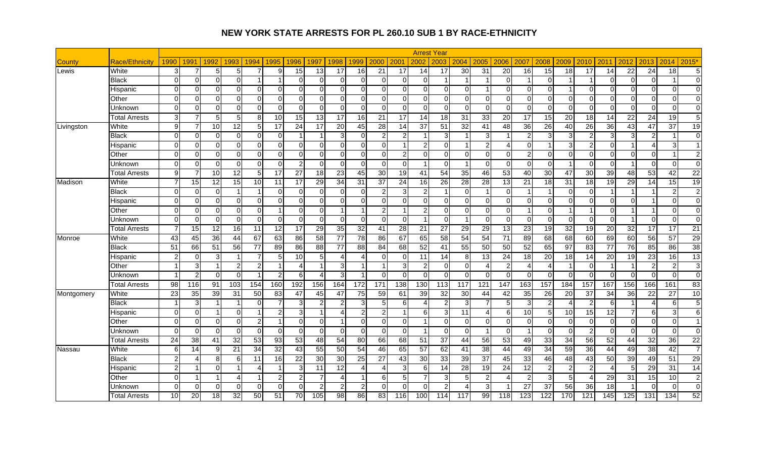|            |                       |                |                |                 |                 |                           |                 |                |                |                          |                          |                 |                 |                 | <b>Arrest Year</b> |                         |                 |                        |                |                |                        |                |                          |                 |                 |                 |                 |
|------------|-----------------------|----------------|----------------|-----------------|-----------------|---------------------------|-----------------|----------------|----------------|--------------------------|--------------------------|-----------------|-----------------|-----------------|--------------------|-------------------------|-----------------|------------------------|----------------|----------------|------------------------|----------------|--------------------------|-----------------|-----------------|-----------------|-----------------|
| Countv     | <b>Race/Ethnicity</b> | 1990           | 1991           | 1992            | 1993            | 1994                      | 1995            | 1996           | 1997           | 1998                     | 1999                     | 2000            | 2001            | 2002            | 2003               | 2004                    | 2005            | 2006                   | 2007           | 2008           | 2009                   | 2010           | 2011                     | 2012            | 2013            | 2014            | 2015*           |
| ∟ewis      | White                 | 3              | 7              | 5 <sub>l</sub>  | 5               | 7                         | 9               | 15             | 13             | 17                       | 16                       | 21              | 17              | 14              | 17                 | 30                      | 31              | 20                     | 16             | 15             | $\overline{18}$        | 17             | 14                       | $\overline{22}$ | 24              | $\overline{18}$ | 5 <sub>l</sub>  |
|            | Black                 | $\Omega$       | $\Omega$       | $\Omega$        | $\Omega$        |                           |                 | $\Omega$       | $\Omega$       | $\Omega$                 | $\Omega$                 | $\Omega$        | $\Omega$        | ∩               | $\overline{1}$     |                         |                 | $\Omega$               |                | $\Omega$       | -1                     |                | $\Omega$                 | $\Omega$        | $\Omega$        | -1              | $\Omega$        |
|            | Hispanic              | $\Omega$       | $\Omega$       | $\Omega$        | $\Omega$        | $\Omega$                  | $\Omega$        | $\Omega$       | $\Omega$       | $\Omega$                 | $\Omega$                 | $\Omega$        | $\Omega$        | $\Omega$        | $\Omega$           | $\Omega$                |                 | $\Omega$               | $\Omega$       | $\mathbf 0$    | -1                     | O              | $\Omega$                 | $\Omega$        | $\mathbf 0$     | $\Omega$        | $\Omega$        |
|            | Other                 | $\Omega$       | $\Omega$       | $\Omega$        | $\Omega$        | $\Omega$                  | $\Omega$        | $\Omega$       | $\Omega$       | $\Omega$                 | $\Omega$                 | $\Omega$        | $\Omega$        | ∩               | $\Omega$           | $\Omega$                | $\Omega$        | $\Omega$               | <sup>0</sup>   | $\Omega$       | $\Omega$               | $\Omega$       | $\Omega$                 | $\Omega$        | $\Omega$        | $\Omega$        | $\Omega$        |
|            | Unknown               | $\Omega$       | $\Omega$       | $\Omega$        | $\Omega$        | $\Omega$                  | $\Omega$        | $\Omega$       | $\Omega$       | $\Omega$                 | $\Omega$                 | $\Omega$        | $\overline{0}$  | $\Omega$        | $\Omega$           | $\Omega$                | $\Omega$        | $\Omega$               | $\Omega$       | $\mathbf 0$    | $\Omega$               | $\Omega$       | $\Omega$                 | $\Omega$        | $\Omega$        | $\mathbf 0$     | $\Omega$        |
|            | <b>Total Arrests</b>  | $\sqrt{3}$     | 7              | 5 <sub>l</sub>  | $5\overline{)}$ | 8                         | 10              | 15             | 13             | 17                       | 16                       | 21              | 17              | 14              | 18                 | 31                      | 33              | 20                     | 17             | 15             | 20                     | 18             | 14                       | 22              | 24              | 19              | 5 <sub>l</sub>  |
| Livingston | White                 | $\overline{9}$ | 7              | 10 <sup>1</sup> | $\overline{12}$ | 5                         | 17              | 24             | 17             | $\overline{20}$          | 45                       | 28              | 14              | 37              | 51                 | 32                      | 41              | $\overline{48}$        | 36             | 26             | 40                     | 26             | 36                       | 43              | 47              | 37              | 19              |
|            | <b>Black</b>          | $\mathbf 0$    | 0              | $\Omega$        | $\overline{0}$  | $\mathbf 0$               | $\mathbf 0$     | -1             |                | 3                        | $\Omega$                 | $\overline{c}$  | $\mathbf{2}$    |                 | 3                  |                         | 3               |                        | $\overline{2}$ | 3              | 3                      | $\overline{2}$ | 3 <sup>1</sup>           | 3               | $\overline{2}$  | $\overline{1}$  | $\overline{0}$  |
|            | Hispanic              | $\mathbf 0$    | $\Omega$       | $\Omega$        | $\Omega$        | $\Omega$                  | $\overline{0}$  | $\Omega$       | $\Omega$       | $\Omega$                 | $\Omega$                 | $\Omega$        | $\overline{1}$  | っ               | $\Omega$           |                         | $\overline{2}$  | $\overline{4}$         | $\Omega$       | 1              | 3                      | $\overline{2}$ | $\Omega$                 |                 | $\overline{A}$  | 3               | $\vert$ 1       |
|            | Other                 | $\mathbf 0$    | 0              | $\Omega$        | $\Omega$        | 0                         | $\overline{0}$  | $\Omega$       | $\Omega$       | $\overline{0}$           | $\mathbf 0$              | $\mathbf 0$     | $\mathbf{2}$    | $\Omega$        | $\overline{0}$     | $\mathbf 0$             | $\overline{0}$  | $\overline{0}$         | 2              | $\mathbf 0$    | 0                      | $\overline{0}$ | $\Omega$                 | $\Omega$        | $\mathbf 0$     | $\overline{1}$  | 2 <sub>l</sub>  |
|            | Unknown               | $\Omega$       | $\Omega$       | $\Omega$        | $\Omega$        | $\Omega$                  | $\Omega$        | $\overline{a}$ | $\Omega$       | $\Omega$                 | $\Omega$                 | $\Omega$        | $\Omega$        |                 | $\Omega$           | $\overline{1}$          | $\mathbf{O}$    | $\Omega$               | $\Omega$       | $\Omega$       | -1                     | $\Omega$       | $\Omega$                 |                 | $\Omega$        | $\Omega$        | $\Omega$        |
|            | Total Arrests         | 9              | $\overline{7}$ | 10 <sup>1</sup> | $\overline{12}$ | 5                         | $\overline{17}$ | 27             | 18             | 23                       | 45                       | 30              | 19              | 41              | 54                 | 35                      | $\overline{46}$ | 53                     | 40             | 30             | 47                     | 30             | 39                       | 48              | 53              | 42              | $\overline{22}$ |
| Madison    | White                 | $\overline{7}$ | 15             | 12              | 15              | 10                        | 11              | 17             | 29             | $\overline{34}$          | 31                       | $\overline{37}$ | $\overline{24}$ | $\overline{16}$ | 26                 | 28                      | $\overline{28}$ | $\overline{13}$        | 21             | 18             | 31                     | 18             | $\overline{19}$          | 29              | $\overline{14}$ | 15              | 19              |
|            | <b>Black</b>          | $\mathbf 0$    | 0              | $\Omega$        |                 |                           | $\mathbf 0$     | $\Omega$       | $\Omega$       | $\mathbf 0$              | $\Omega$                 | $\overline{c}$  | 3               | າ               | $\overline{1}$     | $\Omega$                | 1               | $\Omega$               |                | 1              | $\Omega$               | 0              |                          |                 |                 | $\overline{c}$  | 2 <sub>l</sub>  |
|            | Hispanic              | $\mathbf 0$    | $\Omega$       | $\Omega$        | $\Omega$        | $\Omega$                  | $\Omega$        | $\Omega$       | $\Omega$       | $\Omega$                 | $\Omega$                 | $\mathbf 0$     | $\Omega$        | ∩               | $\Omega$           | $\Omega$                | $\overline{0}$  | $\Omega$               | ∩              | $\Omega$       | $\Omega$               | $\Omega$       | $\Omega$                 | $\Omega$        |                 | $\Omega$        | $\Omega$        |
|            | Other                 | $\Omega$       | $\mathbf 0$    | $\Omega$        | $\Omega$        | $\Omega$                  | $\mathbf{1}$    | $\Omega$       | $\Omega$       | -1                       | $\overline{1}$           | $\overline{c}$  | 1               | っ               | $\Omega$           | $\Omega$                | $\overline{0}$  | $\Omega$               |                | $\mathbf 0$    | -1                     | $\overline{1}$ | $\Omega$                 |                 | 1               | $\mathbf 0$     | $\Omega$        |
|            | Unknown               | $\mathbf 0$    | $\Omega$       | $\Omega$        | $\Omega$        | $\Omega$                  | $\Omega$        | $\Omega$       | $\Omega$       | $\Omega$                 | $\Omega$                 | $\Omega$        | $\Omega$        |                 | $\Omega$           | $\overline{\mathbf{1}}$ | $\overline{0}$  | $\Omega$               | $\Omega$       | $\Omega$       | $\Omega$               | $\Omega$       | $\Omega$                 | -1              | $\Omega$        | $\mathbf 0$     | $\Omega$        |
|            | Total Arrests         | 7              | 15             | 12              | 16              | 11                        | 12              | 17             | 29             | 35                       | 32                       | 41              | 28              | 21              | 27                 | 29                      | 29              | 13                     | 23             | 19             | 32                     | 19             | 20                       | 32              | 17              | 17              | 21              |
| Monroe     | White                 | 43             | 45             | 36              | 44              | 67                        | 63              | 86             | 58             | 77                       | 78                       | 86              | 67              | 65              | 58                 | 54                      | 54              | 71                     | 89             | 68             | 68                     | 60             | 69                       | 60              | 56              | 57              | 29              |
|            | <b>Black</b>          | 51             | 66             | 51              | 56              | 77                        | 89              | 86             | 88             | 77                       | 88                       | 84              | 68              | 52              | 41                 | $\overline{55}$         | 50              | 50                     | 52             | 65             | 97                     | 83             | 77                       | 76              | 85              | 86              | 38              |
|            | Hispanic              | $\overline{2}$ | $\Omega$       | 3               |                 |                           | 5               | 10             | 5              | Δ                        | Δ                        | $\Omega$        | $\overline{0}$  | 11              | 14                 | 8                       | 13              | 24                     | 18             | 20             | 18                     | 14             | 20                       | 19              | 23              | 16              | 13              |
|            | Other                 | $\overline{1}$ | $\mathbf 3$    |                 | $\overline{a}$  | $\overline{2}$            |                 | $\overline{4}$ |                | 3                        |                          | -1              | 3               |                 | $\Omega$           | $\Omega$                | 4               | $\overline{2}$         | Δ              | $\overline{4}$ | $\overline{1}$         | 0              |                          |                 | $\overline{c}$  | $\overline{2}$  | 3 <sup>1</sup>  |
|            | Unknown               | -1             | $\overline{c}$ | $\Omega$        | $\Omega$        |                           | $\overline{2}$  | 6              |                | 3                        |                          | $\Omega$        | $\Omega$        | ∩               | $\Omega$           | $\Omega$                | $\Omega$        | $\Omega$               | <sup>0</sup>   | $\Omega$       | $\Omega$               | $\Omega$       | $\Omega$                 | $\Omega$        | $\Omega$        | 0               | $\Omega$        |
|            | <b>Total Arrests</b>  | 98             | 116            | 91              | 103             | 154                       | 160             | 192            | 156            | 164                      | 172                      | 171             | 138             | 130             | 113                | 117                     | 121             | 147                    | 163            | 157            | 184                    | 157            | 167                      | 156             | 166             | 161             | 83              |
| Montgomery | White                 | 23             | 35             | 39              | 31              | 50                        | 83              | 47             | 45             | 47                       | 75                       | 59              | 61              | 39              | 32                 | 30                      | 44              | 42                     | 35             | 26             | 20                     | 37             | 34                       | 36              | 22              | $\overline{27}$ | 10              |
|            | <b>Black</b>          | $\overline{1}$ | 3              |                 |                 | $\Omega$                  | 7               | 3              | 2              | 2                        | 3                        | 5               | $6 \mid$        |                 | $\overline{a}$     | 3                       | 7               | 5                      |                | $\overline{c}$ | $\boldsymbol{\Lambda}$ | 2              | 6                        |                 | $\overline{4}$  | 6               | 5 <sub>l</sub>  |
|            | Hispanic              | $\mathbf 0$    | $\mathbf 0$    |                 | $\Omega$        |                           | $\overline{c}$  | 3              |                | Δ                        | 2                        | $\overline{c}$  | 1               | ี่ค             | 3                  | 11                      | 4               | 6                      | 10             | 5              | 10                     | 15             | 12                       |                 | 6               | 3               | $6 \mid$        |
|            | Other                 | $\mathbf 0$    | $\mathbf 0$    | $\Omega$        | $\Omega$        | $\overline{2}$            | $\overline{1}$  | $\Omega$       | $\Omega$       | 1                        | $\Omega$                 | $\pmb{0}$       | $\mathbf 0$     |                 | $\Omega$           | $\mathbf 0$             | $\overline{0}$  | $\Omega$               | ∩              | $\mathbf 0$    | $\mathbf 0$            | $\Omega$       | $\Omega$                 | $\Omega$        | $\mathbf 0$     | $\mathbf 0$     | $\overline{1}$  |
|            | Unknown               | $\Omega$       | $\Omega$       | $\Omega$        | $\Omega$        | $\Omega$                  | $\Omega$        | $\Omega$       | $\Omega$       | $\Omega$                 | $\Omega$                 | $\Omega$        | $\mathbf 0$     |                 | $\Omega$           | $\Omega$                | 1               | $\Omega$               |                | $\Omega$       | $\Omega$               | 2              | $\Omega$                 | $\Omega$        | $\Omega$        | $\mathbf 0$     | $\Omega$        |
|            | <b>Total Arrests</b>  | 24             | 38             | 41              | 32              | 53                        | $\overline{93}$ | 53             | 48             | 54                       | 80                       | 66              | 68              | 51              | 37                 | 44                      | 56              | 53                     | 49             | 33             | 34                     | 56             | 52                       | 44              | 32              | $\overline{36}$ | 22              |
| Nassau     | White                 | 6              | 14             | 9               | 21              | 34                        | 32              | 43             | 55             | 50                       | 54                       | 46              | 65              | 57              | 62                 | 41                      | 38              | 44                     | 49             | 34             | 59                     | 36             | 44                       | 49              | 38              | 42              | $\overline{7}$  |
|            | <b>Black</b>          | $\overline{c}$ |                | 8               | 6               | 11                        | 16              | 22             | 30             | 30                       | 25                       | 27              | 43              | 30              | 33                 | 39                      | 37              | 45                     | 33             | 46             | 48                     | 43             | 50                       | 39              | 49              | 51              | 29              |
|            | Hispanic              | $\overline{c}$ |                | $\Omega$        |                 | $\boldsymbol{\varLambda}$ |                 | 3              | 11             | $\overline{12}$          | $\boldsymbol{\varDelta}$ | 4               | 3               | 6               | 14                 | 28                      | 19              | 24                     | 12             | $\overline{2}$ | $\overline{2}$         | $\overline{2}$ | $\boldsymbol{\varDelta}$ | 5               | 29              | 31              | 14              |
|            | Other                 | $\Omega$       |                |                 | $\overline{4}$  |                           | $\overline{2}$  | $\overline{2}$ |                | $\boldsymbol{\varDelta}$ |                          | 6               | 5 <sup>1</sup>  |                 | 3                  | 5                       | $\overline{c}$  | $\boldsymbol{\Lambda}$ |                | 3              | 5                      |                | 29                       | 31              | 15              | 10              | $\overline{2}$  |
|            | Unknown               | $\mathbf 0$    | 0              | $\Omega$        | $\overline{0}$  | $\Omega$                  | $\mathbf 0$     | $\overline{0}$ | $\overline{2}$ | $\overline{2}$           | $\overline{2}$           | $\mathbf 0$     | $\overline{0}$  | ∩               |                    |                         | 3               |                        | 27             | 37             | 56                     | 36             | 18                       |                 | $\Omega$        | 0               | $\overline{0}$  |
|            | <b>Total Arrests</b>  | 10             | 20             | 18              | 32              | 50                        | 51              | 70             | 105            | 98                       | 86                       | 83              | 116             | 100             | 114                | 117                     | 99              | $\frac{1}{18}$         | 123            | 122            | 170                    | 121            | $\overline{145}$         | 125             | 131             | $\frac{1}{134}$ | 52              |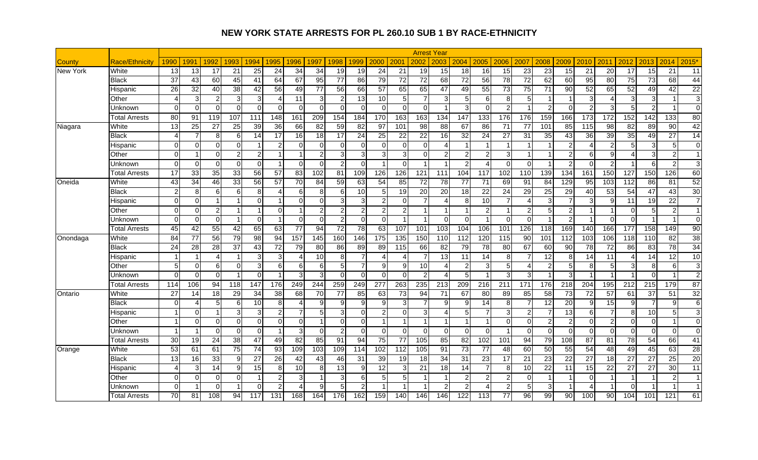|          |                       |                 |                         |                |                 |                 |                        |                  |          |                 |                 |                  |                        |                 | <b>Arrest Year</b>      |                      |                 |                |                 |                 |                         |                 |                          |                  |                  |                  |                 |
|----------|-----------------------|-----------------|-------------------------|----------------|-----------------|-----------------|------------------------|------------------|----------|-----------------|-----------------|------------------|------------------------|-----------------|-------------------------|----------------------|-----------------|----------------|-----------------|-----------------|-------------------------|-----------------|--------------------------|------------------|------------------|------------------|-----------------|
| County   | <b>Race/Ethnicity</b> | 1990            | 199 $^{\prime}$         | 1992           | 1993            | 994             | 1995                   | 1996             | 1997     | 1998            | 999             | 2000             | 2001                   | 2002            | 2003                    | 2004                 | 2005            | 2006           | 2007            | 2008            | 2009                    | 2010            | 2011                     | 2012             | 2013             | 2014             | $2015*$         |
| New York | White                 | 13              | 13                      | 17             | 21              | 25              | 24                     | 34               | 34       | 19              | 19              | 24               | 21                     | 19              | 15                      | 18                   | 16              | 15             | $\overline{23}$ | 23              | 15                      | 21              | 20                       | 17               | 15               | $\overline{21}$  | 11              |
|          | <b>Black</b>          | 37              | 43                      | 60             | 45              | 41              | 64                     | 67               | 95       | $\overline{77}$ | 86              | 79               | 72                     | $\overline{72}$ | 68                      | $\overline{72}$      | $\overline{56}$ | 78             | $\overline{72}$ | 62              | 60                      | 95              | 80                       | 75               | 73               | 68               | 44              |
|          | Hispanic              | 26              | 32                      | 40             | 38              | 42              | 56                     | 49               | 77       | 56              | 66              | 57               | 65                     | 65              | 47                      | 49                   | 55              | 73             | 75              | 71              | 90                      | 52              | 65                       | 52               | 49               | 42               | 22              |
|          | Other                 | 4               | 3                       | $\overline{2}$ | 3               | 3               | $\boldsymbol{\Lambda}$ | 11               | 3        | $\overline{2}$  | 13              | $\overline{10}$  | 5 <sub>5</sub>         |                 | 3                       | 5                    | 6               | 8              | 5               |                 | $\overline{\mathbf{1}}$ | 3               | $\boldsymbol{\varDelta}$ | 3                | 3                | $\overline{1}$   | 3 <sup>1</sup>  |
|          | Unknown               | $\Omega$        | $\Omega$                | $\Omega$       | $\Omega$        | $\Omega$        | $\Omega$               | $\Omega$         | $\Omega$ | $\Omega$        | $\Omega$        | $\mathbf 0$      | $\mathbf 0$            | $\Omega$        |                         | 3                    | $\Omega$        | $\overline{2}$ |                 | $\overline{2}$  | $\Omega$                | $\overline{2}$  | 3                        | 5                | $\overline{2}$   | $\overline{1}$   | $\Omega$        |
|          | <b>Total Arrests</b>  | $\overline{80}$ | 91                      | 119            | 107             | 111             | 148                    | 161              | 209      | 154             | 184             | 170              | 163                    | 163             | 134                     | 147                  | 133             | 176            | 176             | 159             | 166                     | 173             | 172                      | 152              | $\overline{142}$ | 133              | 80              |
| Niagara  | White                 | 13              | 25                      | 27             | 25              | 39              | 36                     | 66               | 82       | 59              | 82              | 97               | 101                    | 98              | 88                      | 67                   | 86              | 71             | 77              | 101             | 85                      | 115             | 98                       | 82               | 89               | 90               | 42              |
|          | Black                 | $\overline{4}$  | 7                       | 8 <sup>1</sup> | $6 \mid$        | 14              | 17                     | 16               | 18       | 17              | 24              | 25               | 22                     | $\overline{22}$ | 16                      | 32                   | 24              | 27             | 31              | 35              | 43                      | 36              | 39                       | 35               | 49               | $\overline{27}$  | 14              |
|          | Hispanic              | $\Omega$        | $\Omega$                | ΩI             | $\Omega$        |                 | $\overline{c}$         | $\Omega$         |          | $\Omega$        | $\Omega$        | $\Omega$         | $\Omega$               | $\Omega$        | Δ                       | -1                   | -1              |                |                 |                 | 2                       | Δ               | 2                        | 5                | $\mathbf{3}$     | 5                | $\Omega$        |
|          | Other                 | $\Omega$        | $\overline{\mathbf{1}}$ | $\Omega$       | $\overline{2}$  | $\overline{2}$  | $\overline{1}$         | $\overline{1}$   | っ        | 3               | 3               | 3 <sup>1</sup>   | $\mathbf{3}$           | $\Omega$        | $\overline{a}$          | $\overline{2}$       | $\overline{2}$  | 3              |                 | 1               | $\overline{2}$          | 6               | 9                        | 4                | $\mathbf{3}$     | $\overline{c}$   | 1 <sup>1</sup>  |
|          | Unknown               | $\Omega$        | $\Omega$                | $\Omega$       | $\Omega$        | $\Omega$        | 1                      | $\Omega$         | ∩        | $\overline{2}$  | $\Omega$        | $\mathbf{1}$     | $\Omega$               |                 | $\overline{1}$          | $\mathcal{P}$        | $\overline{A}$  | $\Omega$       | $\Omega$        | $\overline{1}$  | 2                       | $\Omega$        | 2                        |                  | 6                | $\overline{2}$   | $\overline{3}$  |
|          | Total Arrests         | 17              | 33                      | 35             | $\overline{33}$ | 56              | $\overline{57}$        | 83               | 102      | 81              | 109             | 126              | 126                    | 121             | 111                     | 104                  | 117             | 102            | 110             | 139             | 134                     | 161             | 150                      | 127              | 150              | $\overline{126}$ | 60              |
| Oneida   | White                 | 43              | $\overline{34}$         | 46             | 33              | 56              | 57                     | 70               | 84       | 59              | 63              | 54               | $\overline{85}$        | $\overline{72}$ | 78                      | $\overline{77}$      | 71              | 69             | 91              | 84              | 129                     | $\overline{95}$ | 103                      | $\overline{112}$ | 86               | 81               | 52              |
|          | <b>Black</b>          | $\overline{2}$  | 8                       | 6 <sup>1</sup> | 6               | 8               | 4                      | 6                | 8        | 6               | 10              | 5 <sup>5</sup>   | 19                     | 20              | 20                      | 18                   | 22              | 24             | 29              | 25              | 29                      | 40              | 53                       | 54               | 47               | 43               | 30              |
|          | Hispanic              | $\Omega$        | $\Omega$                |                | 1               | $\Omega$        | -1                     | $\Omega$         | U        | 3               | 3               | $\overline{a}$   | $\Omega$               |                 | Δ                       | 8                    | 10              | $\overline{7}$ |                 | 3               | 7                       | 3               | 9                        | 11               | 19               | 22               | $\overline{7}$  |
|          | Other                 | $\Omega$        | $\Omega$                | $\overline{2}$ | 1               |                 | $\overline{0}$         |                  |          | $\overline{2}$  | $\overline{2}$  | $\overline{a}$   | $\mathbf{2}$           |                 | -1                      | $\overline{1}$       | $\overline{a}$  | $\overline{1}$ | 2               | 5               | $\overline{2}$          | $\overline{1}$  |                          | $\Omega$         | 5                | $\overline{2}$   | $\overline{1}$  |
|          | Unknown               | $\Omega$        | $\Omega$                | $\Omega$       | $\overline{1}$  | $\Omega$        |                        | $\Omega$         | ∩        | $\overline{2}$  | $\Omega$        | $\Omega$         |                        |                 | $\Omega$                | $\Omega$             | 1               | $\Omega$       | $\Omega$        |                 | $\mathcal{P}$           | -1              | $\Omega$                 | $\Omega$         |                  | $\overline{1}$   | $\Omega$        |
|          | <b>Total Arrests</b>  | 45              | 42                      | 55             | 42              | 65              | 63                     | 77               | 94       | $\overline{72}$ | $\overline{78}$ | 63               | 107                    | 101             | 103                     | 104                  | 106             | 101            | 126             | 118             | 169                     | 140             | 166                      | 177              | 158              | $\overline{149}$ | 90              |
| Onondaga | White                 | 84              | 77                      | 56             | 79              | 98              | 94                     | 157              | 145      | 160             | 146             | 175              | 135                    | 150             | 110                     | 112                  | 120             | 115            | 90              | 101             | 112                     | 103             | 106                      | 118              | 110              | $\overline{82}$  | 38              |
|          | <b>Black</b>          | 24              | 28                      | 28             | 37              | 43              | 72                     | 79               | 80       | 86              | 89              | 89               | 115                    | 66              | 82                      | 79                   | 78              | 80             | 67              | 60              | 90                      | 78              | 72                       | 86               | 83               | 78               | 34              |
|          | Hispanic              |                 | $\overline{1}$          | Δ              | 1               | 3               | 3                      | $\boldsymbol{4}$ | 10       | 8               | 7               | 4                | $\boldsymbol{\Lambda}$ |                 | 13                      | 11                   | 14              | 8              |                 | 12              | 8                       | 14              | 11                       |                  | 14               | 12               | 10              |
|          | Other                 | 5               | $\overline{0}$          | 6              | $\Omega$        | 3               | 6                      | $6 \mid$         | 6        | 5               | 7               | $\boldsymbol{9}$ | 9                      | 10              | $\boldsymbol{\Lambda}$  | $\overline{2}$       | 3               | $\sqrt{5}$     | 4               | $\overline{c}$  | 5                       | 8               | 5 <sub>l</sub>           | 3                | 8                | 6                | 3 <sub>l</sub>  |
|          | Unknown               | $\Omega$        | $\Omega$                | $\Omega$       | 1               | $\Omega$        |                        | 3                | з        | $\Omega$        | $\Omega$        | $\Omega$         | $\Omega$               | $\mathcal{P}$   | 4                       | 5                    | 1               | $\overline{3}$ | 3               |                 | 3                       |                 |                          |                  | $\Omega$         | $\overline{1}$   | 2 <sub>l</sub>  |
|          | Total Arrests         | 114             | 106                     | 94             | 118             | 147             | 176                    | 249              | 244      | 259             | 249             | 277              | 263                    | 235             | 213                     | 209                  | 216             | 211            | 171             | 176             | 218                     | 204             | 195                      | 212              | 215              | 179              | $\overline{87}$ |
| Ontario  | White                 | 27              | 14                      | 18             | 29              | 34              | 38                     | 68               | 70       | 77              | 85              | 63               | 73                     | 94              | 71                      | 67                   | 80              | 89             | 85              | 58              | $\overline{73}$         | 72              | 57                       | 61               | 37               | 51               | 32              |
|          | <b>Black</b>          | $\Omega$        | Δ                       | 5 <sup>1</sup> | 6               | 10              | 8                      | Δ                | a        | 9               | 9               | 9                | $\overline{3}$         |                 | 9                       | 9                    | 14              | 8 <sup>1</sup> |                 | 12              | 20                      | 9               | 15                       | 9                | $\overline{7}$   | 9                | $6 \mid$        |
|          | Hispanic              |                 | $\Omega$                |                | 3               | 3               | $\overline{c}$         | $\overline{7}$   |          | 3               | $\Omega$        | $\overline{a}$   | $\Omega$               | з               | 4                       | 5                    | $\overline{7}$  | 3              | $\mathcal{P}$   | $\overline{7}$  | 13                      | 6               | $\overline{7}$           | 8                | 10               | 5                | 3 <sup>l</sup>  |
|          | Other                 |                 | $\Omega$                | $\Omega$       | $\Omega$        | $\Omega$        | $\overline{0}$         | $\Omega$         |          | $\Omega$        | $\Omega$        | $\mathbf{1}$     |                        |                 | $\overline{\mathbf{1}}$ | $\blacktriangleleft$ | 1               | $\Omega$       | $\Omega$        | $\overline{2}$  | 2                       | $\Omega$        | $\overline{2}$           | $\Omega$         | $\Omega$         | $\overline{1}$   | $\overline{0}$  |
|          | Unknown               |                 | -1                      | $\Omega$       | $\Omega$        | $\Omega$        |                        | $\overline{3}$   | ∩        | $\overline{2}$  | $\Omega$        | $\mathbf 0$      | $\Omega$               | $\Omega$        | $\Omega$                | $\Omega$             | $\overline{0}$  |                | $\Omega$        | $\Omega$        | $\Omega$                | $\Omega$        | $\Omega$                 | $\Omega$         | $\Omega$         | $\mathbf 0$      | $\Omega$        |
|          | Total Arrests         | 30              | 19                      | 24             | $\overline{38}$ | $\overline{47}$ | 49                     | $\overline{82}$  | 85       | 91              | 94              | 75               | 77                     | 105             | 85                      | 82                   | 102             | 101            | 94              | 79              | 108                     | 87              | 81                       | $\overline{78}$  | 54               | 66               | 41              |
| Orange   | White                 | 53              | 61                      | 61             | 75              | 74              | 93                     | 109              | 103      | 109             | 114             | 102              | 112                    | 105             | 91                      | $\overline{73}$      | 77              | 48             | 60              | 50              | 55                      | 54              | 48                       | 49               | 45               | 63               | 28              |
|          | <b>Black</b>          | $\overline{13}$ | 16                      | 33             | 9               | $\overline{27}$ | $\overline{26}$        | 42               | 43       | 46              | 31              | 39               | 19                     | $\overline{18}$ | 34                      | 31                   | $\overline{23}$ | 17             | 21              | $\overline{23}$ | $\overline{22}$         | 27              | $\overline{18}$          | 27               | $\overline{27}$  | $\overline{25}$  | 20              |
|          | Hispanic              | 4               | 3                       | 14             | $\overline{9}$  | 15              | 8                      | 10               |          | 13              | 9               | 12               | 3                      | 21              | 18                      | 14                   | $\overline{7}$  | 8              | 10              | 22              | 11                      | 15              | 22                       | 27               | 27               | 30               | 11              |
|          | Other                 | $\Omega$        | $\Omega$                | $\Omega$       | $\Omega$        |                 | $\overline{2}$         | $\overline{3}$   |          | 3               | $6\phantom{1}6$ | 5 <sup>5</sup>   | 5 <sub>l</sub>         |                 |                         | $\overline{2}$       | $\overline{2}$  | $\overline{2}$ | $\Omega$        |                 | -1                      | $\Omega$        |                          |                  |                  | $\overline{2}$   | $\overline{1}$  |
|          | Jnknown               | $\mathbf 0$     | 1                       | $\Omega$       |                 | $\Omega$        | $\overline{2}$         | Δ                | 9        | 5               | $\overline{2}$  |                  |                        |                 | $\overline{2}$          | $\overline{2}$       |                 | $\overline{2}$ | 5               | 3               |                         |                 |                          | $\Omega$         |                  | $\overline{1}$   | $\overline{1}$  |
|          | Total Arrests         | 70              | 81                      | 108            | 94              | 117             | 131                    | 168              | 164      | 176             | 162             | 159              | 140                    | 146             | 146                     | 122                  | 113             | 77             | 96              | 99              | $\overline{90}$         | 100             | 90                       | 104              | 101              | 121              | 61              |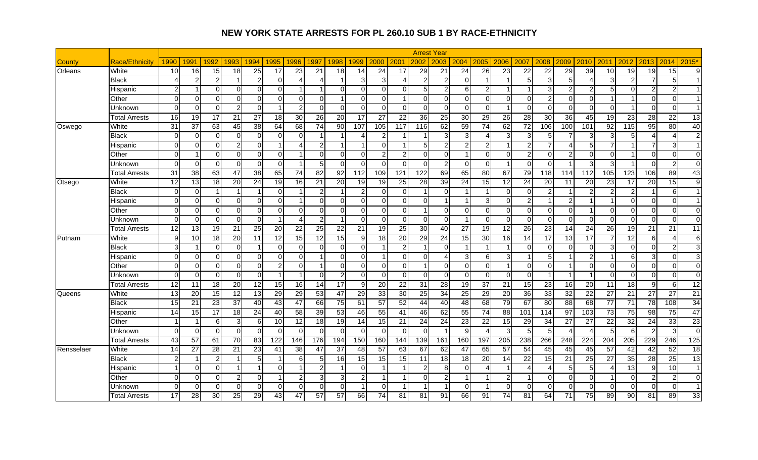|            |                       |                 |                         |                 |                         |                 |                 |                         |                 |                         |                  |                 |                 |                 | <b>Arrest Year</b>      |                         |                 |                |                 |                  |                        |                |                        |                  |                 |                  |                 |
|------------|-----------------------|-----------------|-------------------------|-----------------|-------------------------|-----------------|-----------------|-------------------------|-----------------|-------------------------|------------------|-----------------|-----------------|-----------------|-------------------------|-------------------------|-----------------|----------------|-----------------|------------------|------------------------|----------------|------------------------|------------------|-----------------|------------------|-----------------|
| County     | <b>Race/Ethnicity</b> | 1990            | 1991                    | 1992            | 1993                    | 994             | 1995            | 1996                    | 1997            | 1998                    | 1999             | 2000            | 2001            | 2002            | 2003                    | 2004                    | 2005            | 2006           | 2007            | 2008             | 2009                   | 2010           | 2011                   | 2012             | 2013            | 2014             | 2015*           |
| Orleans    | White                 | 10              | 16                      | 15              | 18                      | 25              | 17              | 23                      | 21              | 18                      | 14               | 24              | 17              | 29              | 21                      | 24                      | 26              | 23             | 22              | 22               | 29                     | 39             | 10                     | 19               | 19              | 15               | 9 <sub>l</sub>  |
|            | Black                 | 4               | $\overline{2}$          | $\mathfrak{p}$  | 1                       | $\overline{2}$  | $\Omega$        | Δ                       |                 | -1                      | 3                | 3               | $\overline{4}$  |                 | $\overline{2}$          | $\Omega$                |                 |                | 5               | $\overline{3}$   | 5                      |                | 3                      | $\mathfrak{p}$   | $\overline{7}$  | 5                | $\mathbf{1}$    |
|            | Hispanic              | $\overline{2}$  |                         | $\Omega$        | $\Omega$                | $\Omega$        | $\mathbf 0$     |                         |                 | $\Omega$                | $\Omega$         | $\overline{0}$  | $\Omega$        |                 | $\overline{2}$          | 6                       | $\overline{a}$  |                |                 | $\mathbf 3$      | $\overline{2}$         | 2              | 5                      | $\Omega$         | $\overline{c}$  | $\overline{2}$   | 1 <sup>1</sup>  |
|            | Other                 | $\Omega$        | $\Omega$                | $\Omega$        | $\Omega$                | $\Omega$        | $\Omega$        | $\Omega$                | $\Omega$        | -1                      | $\Omega$         | $\Omega$        |                 | $\Omega$        | $\Omega$                | $\Omega$                | $\overline{0}$  | $\Omega$       | $\Omega$        | $\overline{2}$   | $\Omega$               | $\Omega$       |                        |                  | $\Omega$        | $\mathbf 0$      | 1 <sup>1</sup>  |
|            | Unknown               | $\Omega$        | $\Omega$                | $\Omega$        | $\overline{2}$          | $\Omega$        |                 | $\mathbf{2}$            | $\Omega$        | $\Omega$                | $\mathbf 0$      | $\overline{0}$  | $\overline{0}$  | $\Omega$        | $\Omega$                | $\Omega$                | $\overline{0}$  | $\mathbf{1}$   | $\Omega$        | $\mathbf 0$      | $\Omega$               | $\Omega$       | $\overline{0}$         |                  | $\Omega$        | $\mathbf 0$      | $\overline{1}$  |
|            | Total Arrests         | 16              | 19                      | $\overline{17}$ | $\overline{21}$         | 27              | $\overline{18}$ | 30                      | $\overline{26}$ | $\overline{20}$         | 17               | $\overline{27}$ | 22              | $\overline{36}$ | 25                      | 30                      | 29              | 26             | $\overline{28}$ | 30               | $\overline{36}$        | 45             | 19                     | 23               | $\overline{28}$ | $\overline{22}$  | 13              |
| Oswego     | White                 | 31              | 37                      | 63              | 45                      | 38              | 64              | 68                      | 74              | $\overline{90}$         | 107              | 105             | 117             | 116             | 62                      | 59                      | 74              | 62             | $\overline{72}$ | 106              | 100                    | 101            | 92                     | 115              | 95              | 80               | 40              |
|            | <b>Black</b>          | $\mathbf 0$     | $\Omega$                | $\Omega$        | $\Omega$                | $\Omega$        | $\Omega$        | $\Omega$                |                 |                         | 4                | $\overline{2}$  |                 |                 | 3                       | 3                       | 4               | 3              | 3               | 5                |                        | 3              | 3                      | 5                | $\overline{4}$  | $\overline{4}$   | $\overline{2}$  |
|            | Hispanic              | $\mathbf 0$     | $\Omega$                | $\Omega$        | $\overline{2}$          | $\Omega$        | $\overline{1}$  | 4                       | っ               | 1                       |                  | $\overline{0}$  |                 | 5               | $\overline{a}$          | $\overline{2}$          | $\overline{a}$  | 1              | 2               | 7                |                        | 5              | $\overline{7}$         |                  | $\overline{7}$  | 3                | 11              |
|            | Other                 | $\Omega$        | -1                      | $\Omega$        | $\Omega$                | $\Omega$        | $\Omega$        |                         | ∩               | $\Omega$                | $\Omega$         | $\overline{2}$  | $\overline{2}$  | $\Omega$        | $\Omega$                | $\blacktriangleleft$    | $\overline{0}$  | $\Omega$       | $\mathcal{P}$   | $\Omega$         | 2                      | $\Omega$       | $\Omega$               |                  | $\Omega$        | $\Omega$         | $\Omega$        |
|            | Unknown               | $\Omega$        | $\Omega$                | $\Omega$        | $\Omega$                | $\Omega$        | $\Omega$        | $\overline{\mathbf{1}}$ | 5               | $\Omega$                | $\Omega$         | $\Omega$        | $\Omega$        | $\Omega$        | $\overline{2}$          | $\Omega$                | $\Omega$        | $\overline{1}$ | $\Omega$        | $\Omega$         | -1                     | 3              | $\overline{3}$         |                  | $\Omega$        | 2                | $\Omega$        |
|            | <b>Total Arrests</b>  | 31              | 38                      | 63              | 47                      | 38              | 65              | 74                      | 82              | 92                      | $\overline{112}$ | 109             | 121             | 122             | 69                      | 65                      | 80              | 67             | 79              | $\overline{118}$ | 114                    | 112            | 105                    | 123              | 106             | 89               | 43              |
| Otsego     | White                 | 12              | 13                      | 18              | $\overline{20}$         | 24              | 19              | 16                      | 21              | 20                      | 19               | 19              | 25              | 28              | 39                      | 24                      | 15              | 12             | 24              | 20               | 11                     | 20             | 23                     | 17               | 20              | 15               | 9 <sub>l</sub>  |
|            | <b>Black</b>          | $\Omega$        | $\Omega$                |                 | $\overline{\mathbf{1}}$ |                 | $\Omega$        |                         |                 | $\overline{\mathbf{1}}$ | $\overline{2}$   | $\overline{0}$  | $\Omega$        |                 | $\Omega$                | $\blacktriangleleft$    | 1               | $\Omega$       | $\Omega$        | $\overline{2}$   |                        | 2              | $\overline{2}$         | $\overline{2}$   | $\overline{1}$  | 6                | $\overline{1}$  |
|            | Hispanic              | $\Omega$        | $\Omega$                | $\Omega$        | $\Omega$                | $\Omega$        | $\mathbf 0$     |                         | U               | $\Omega$                | $\Omega$         | $\overline{0}$  | $\overline{0}$  | $\Omega$        | $\overline{1}$          | $\blacktriangleleft$    | 3               | $\Omega$       | 2               | 1                | $\overline{2}$         | -1             |                        | $\Omega$         | $\Omega$        | $\mathbf 0$      | $\overline{1}$  |
|            | Other                 | $\Omega$        | $\Omega$                | $\Omega$        | $\Omega$                | $\Omega$        | $\Omega$        | $\Omega$                | $\Omega$        | $\Omega$                | $\Omega$         | $\overline{0}$  | $\overline{0}$  |                 | $\Omega$                | $\Omega$                | $\overline{0}$  | $\Omega$       | $\Omega$        | $\mathbf 0$      | $\Omega$               | 1              | $\Omega$               | $\Omega$         | $\Omega$        | $\mathbf 0$      | $\Omega$        |
|            | Unknown               | $\Omega$        | $\Omega$                | $\Omega$        | $\Omega$                | $\Omega$        | -1              | 4                       | 2               | $\overline{1}$          | $\Omega$         | $\Omega$        | $\overline{0}$  | $\Omega$        | $\Omega$                | $\overline{\mathbf{1}}$ | $\Omega$        | $\Omega$       | $\Omega$        | $\mathbf 0$      | $\Omega$               | $\Omega$       | $\Omega$               | $\Omega$         | $\Omega$        | $\mathbf 0$      | $\Omega$        |
|            | <b>Total Arrests</b>  | 12              | 13                      | 19              | $\overline{21}$         | $\overline{25}$ | 20              | 22                      | $\overline{25}$ | $\overline{22}$         | 21               | 19              | 25              | 30              | 40                      | 27                      | 19              | 12             | 26              | $\overline{23}$  | 14                     | 24             | 26                     | 19               | 21              | 21               | 11              |
| Putnam     | White                 | 9               | 10                      | 18              | 20                      | 11              | 12              | 15                      | 12              | 15                      | 9                | 18              | 20              | 29              | 24                      | 15                      | 30              | 16             | 14              | $\overline{17}$  | 13                     | 17             | 7                      | $\overline{12}$  | 6               | 4                | $6 \mid$        |
|            | <b>Black</b>          | 3               | $\overline{\mathbf{1}}$ | $\Omega$        | $\Omega$                |                 | $\Omega$        | $\Omega$                | $\Omega$        | $\Omega$                | $\Omega$         | -1              | $\overline{2}$  |                 | $\Omega$                | $\overline{1}$          |                 | $\overline{1}$ | $\Omega$        | $\mathbf 0$      | $\Omega$               | 0              | 3                      | $\Omega$         | $\Omega$        | $\overline{2}$   | 3 <sup>l</sup>  |
|            | Hispanic              | $\mathbf 0$     | $\Omega$                | $\Omega$        | $\overline{0}$          | $\Omega$        | $\mathbf 0$     | 0                       |                 | $\overline{0}$          | $\Omega$         | 1               | $\mathbf 0$     | $\Omega$        | $\overline{4}$          | 3                       | 6               | 3              |                 | 5                |                        | $\overline{2}$ |                        | 6                | 3               | $\mathbf 0$      | 3 <sup>1</sup>  |
|            | Other                 | $\Omega$        | $\Omega$                | $\Omega$        | $\Omega$                | $\Omega$        | $\overline{c}$  | $\overline{0}$          |                 | $\Omega$                | $\Omega$         | $\overline{0}$  | $\overline{0}$  |                 | $\Omega$                | $\Omega$                | $\overline{0}$  | $\mathbf{1}$   | $\Omega$        | $\overline{0}$   | $\overline{1}$         | $\Omega$       | $\Omega$               | $\Omega$         | $\mathbf 0$     | $\mathbf 0$      | $\Omega$        |
|            | Unknown               | $\mathbf 0$     | $\mathbf 0$             | $\Omega$        | $\overline{0}$          | $\Omega$        | 1               | $\overline{1}$          | U               | $\overline{c}$          | $\mathbf 0$      | $\overline{0}$  | $\overline{0}$  | $\Omega$        | $\mathbf 0$             | 0                       | $\overline{0}$  | $\Omega$       | $\Omega$        | 1                | $\overline{1}$         | -1             | $\Omega$               | $\Omega$         | $\mathbf 0$     | 0                | $\Omega$        |
|            | <b>Total Arrests</b>  | 12              | 11                      | 18              | 20                      | 12              | 15              | 16                      | 14              | $\overline{17}$         | 9                | $\overline{20}$ | $\overline{22}$ | 31              | 28                      | 19                      | $\overline{37}$ | 21             | 15              | 23               | 16                     | 20             | 11                     | 18               | 9               | 6                | $\overline{12}$ |
| Queens     | White                 | 13              | 20                      | 15              | $\overline{12}$         | 13              | 29              | 29                      | 53              | 47                      | 29               | 33              | 30              | 25              | 34                      | 25                      | 29              | 20             | 36              | 33               | 32                     | 22             | 27                     | 21               | 27              | $\overline{27}$  | $\overline{21}$ |
|            | <b>Black</b>          | 15              | 21                      | 23              | $\overline{37}$         | 40              | 43              | 47                      | 66              | 75                      | 61               | 57              | 52              | 44              | 40                      | 48                      | $\overline{68}$ | 79             | 67              | 80               | $\overline{88}$        | 68             | $\overline{77}$        | 71               | $\overline{78}$ | 108              | 34              |
|            | Hispanic              | 14              | 15                      | 17              | 18                      | 24              | 40              | 58                      | 39              | 53                      | 46               | 55              | 41              | 46              | 62                      | 55                      | 74              | 88             | 101             | 114              | 97                     | 103            | 73                     | 75               | 98              | $\overline{75}$  | 47              |
|            | Other                 |                 | $\overline{\mathbf{1}}$ | $6 \mid$        | $\overline{3}$          | 6               | 10              | 12                      | 18              | 19                      | 14               | 15              | 21              | $\overline{24}$ | $\overline{24}$         | $\overline{23}$         | $\overline{22}$ | 15             | 29              | $\overline{34}$  | $\overline{27}$        | 27             | $\overline{22}$        | 32               | 24              | 33               | 23              |
|            | Unknown               | $\Omega$        | $\Omega$                | $\Omega$        | $\overline{0}$          | $\Omega$        | $\mathbf 0$     | $\mathbf 0$             | $\Omega$        | $\Omega$                | $\Omega$         | $\mathbf 0$     | $\Omega$        | $\Omega$        | $\overline{\mathbf{1}}$ | 9                       | 4               | 3              | 5               | 5                | $\boldsymbol{\Lambda}$ | 4              | 5                      | -6               | $\overline{c}$  | $\sqrt{3}$       | $\Omega$        |
|            | <b>Total Arrests</b>  | 43              | 57                      | 61              | 70                      | 83              | 122             | 146                     | 176             | 194                     | 150              | 160             | 144             | 139             | 161                     | 160                     | 197             | 205            | 238             | 266              | 248                    | 224            | 204                    | $\overline{205}$ | 229             | $\overline{246}$ | 125             |
| Rensselaer | White                 | 14              | 27                      | 28              | 21                      | 23              | 41              | 38                      | 47              | 37                      | 48               | 57              | 63              | 67              | 62                      | 47                      | 65              | 57             | 54              | 45               | 45                     | 45             | 57                     | 42               | 42              | 52               | 18              |
|            | <b>Black</b>          | $\overline{2}$  |                         | 2               | -1                      | 5               |                 | 6                       |                 | $\overline{16}$         | 15               | 15              | 15              | 11              | 18                      | 18                      | 20              | 14             | 22              | 15               | 21                     | 25             | $\overline{27}$        | 35               | 28              | 25               | 13              |
|            | Hispanic              |                 | $\Omega$                | $\Omega$        |                         |                 | $\mathbf 0$     |                         |                 |                         | $\Omega$         | -1              |                 |                 | 8                       | $\Omega$                | 4               |                |                 | $\overline{4}$   | 5                      | 5              | $\boldsymbol{\Lambda}$ | $\overline{13}$  | 9               | 10               | 1 <sup>1</sup>  |
|            | Other                 | $\Omega$        | $\Omega$                | $\Omega$        | $\overline{2}$          | $\Omega$        |                 | $\overline{2}$          |                 | 3                       | $\overline{2}$   | $\mathbf{1}$    |                 |                 | $\overline{2}$          |                         |                 | $\overline{2}$ |                 | $\mathbf 0$      | $\Omega$               | $\Omega$       |                        | $\Omega$         | $\overline{c}$  | $\overline{2}$   | $\Omega$        |
|            | Jnknown               | $\mathbf 0$     | $\overline{0}$          | $\Omega$        | $\overline{0}$          | $\mathbf 0$     | 0               | $\overline{0}$          | $\Omega$        | $\overline{0}$          | $\overline{1}$   | $\overline{0}$  |                 |                 |                         | $\mathbf 0$             |                 | $\overline{0}$ | $\Omega$        | $\mathbf 0$      | $\mathbf 0$            | 0              | $\overline{0}$         | $\overline{0}$   | $\mathbf 0$     | $\mathbf 0$      | $\overline{1}$  |
|            | <b>Total Arrests</b>  | $\overline{17}$ | 28                      | 30              | 25                      | 29              | 43              | 47                      | 57              | 57                      | 66               | 74              | 81              | 81              | 91                      | 66                      | 91              | 74             | 81              | 64               | 71                     | 75             | 89                     | 90               | 81              | 89               | 33              |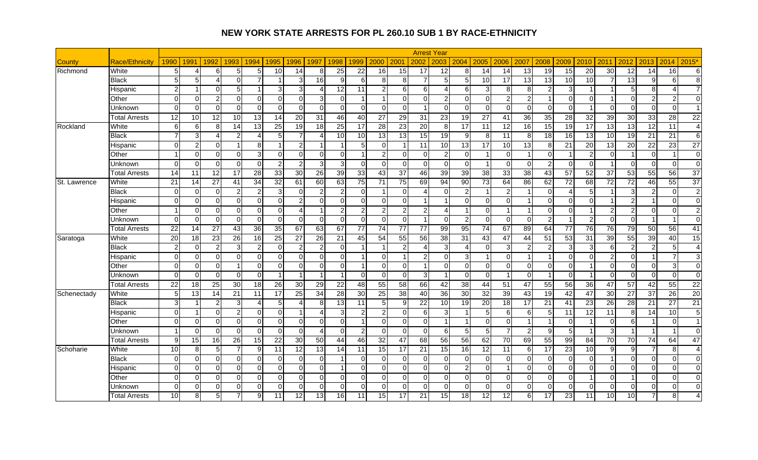|              |                       |                 |                |                 |                 |                        |                 |                |                 |                 |                         |                 |                 |                 | <b>Arrest Year</b>      |                          |                 |                 |                 |                 |                          |                 |                  |                 |                 |                        |                 |
|--------------|-----------------------|-----------------|----------------|-----------------|-----------------|------------------------|-----------------|----------------|-----------------|-----------------|-------------------------|-----------------|-----------------|-----------------|-------------------------|--------------------------|-----------------|-----------------|-----------------|-----------------|--------------------------|-----------------|------------------|-----------------|-----------------|------------------------|-----------------|
| County       | <b>Race/Ethnicity</b> | 1990            | 1991           | 1992            | 1993            | 1994                   | 1995            | 1996           | 1997            | 1998            | 1999                    | 2000            | 2001            | 2002            | 2003                    | 2004                     | 2005            | 2006            | 2007            | 2008            | 2009                     | 2010            | 2011             | 2012            | 2013            | 2014                   | $2015*$         |
| Richmond     | White                 | 5               | Δ              | 6               | 5               | 5                      | 10              | 14             | 8               | 25              | 22                      | 16              | 15              | 17              | 12                      | 8                        | 14              | 14              | 13              | 19              | 15                       | 20              | 30               | 12              | 14              | 16                     | 6               |
|              | Black                 | 5               | 5              | Δ               | $\Omega$        |                        |                 | 3              | 16              | 9               | 6                       | 8               | 8               |                 | 5                       | $\overline{5}$           | $\overline{10}$ | $\overline{17}$ | 13              | $\overline{13}$ | 10                       | 10              | 7                | 13              | 9               | 6                      | 8 <sup>1</sup>  |
|              | Hispanic              | $\overline{2}$  |                | $\Omega$        | 5               |                        | 3               | $\overline{3}$ |                 | 12              | 11                      | $\overline{2}$  | $6 \mid$        | 6               | 4                       | 6                        | 3               | 8               | 8               | $\overline{c}$  | 3                        |                 |                  | 5               | $\, 8$          | $\boldsymbol{\Lambda}$ | $\overline{7}$  |
|              | Other                 | $\Omega$        | $\Omega$       | $\overline{2}$  | $\Omega$        | $\Omega$               | $\Omega$        | $\Omega$       |                 | $\Omega$        | $\overline{1}$          | $\overline{1}$  | $\Omega$        | $\Omega$        | $\overline{2}$          | $\Omega$                 | $\Omega$        | $\overline{2}$  | 2               | 1               | $\Omega$                 | $\Omega$        |                  | $\Omega$        | $\overline{2}$  | $\overline{c}$         | $\Omega$        |
|              | Unknown               | $\Omega$        | $\Omega$       | $\Omega$        | $\Omega$        | $\Omega$               | $\Omega$        | $\Omega$       | $\Omega$        | $\mathbf 0$     | $\mathbf 0$             | $\overline{0}$  | $\overline{0}$  |                 | $\Omega$                | $\Omega$                 | $\overline{0}$  | $\overline{0}$  | $\Omega$        | $\mathbf 0$     | $\Omega$                 | -1              | $\Omega$         | $\Omega$        | $\overline{0}$  | $\mathbf 0$            | $\vert$ 1       |
|              | Total Arrests         | 12              | 10             | 12              | 10              | 13                     | $\overline{14}$ | 20             | 31              | 46              | 40                      | $\overline{27}$ | 29              | 31              | $\overline{23}$         | 19                       | $\overline{27}$ | 41              | $\overline{36}$ | $\overline{35}$ | 28                       | $\overline{32}$ | 39               | 30              | 33              | $\overline{28}$        | $\overline{22}$ |
| Rockland     | White                 | $\,6$           | 6              | 8 <sup>1</sup>  | 14              | 13                     | 25              | 19             | 18              | 25              | 17                      | 28              | 23              | $\overline{20}$ | 8                       | 17                       | 11              | 12              | 16              | $\overline{15}$ | 19                       | 17              | 13               | 13              | $\overline{12}$ | $\overline{11}$        | $\overline{4}$  |
|              | <b>Black</b>          | $\overline{7}$  | 3              |                 | 2               | 4                      | 5               | 7              |                 | $\overline{10}$ | 10                      | 13              | 13              | $\overline{15}$ | 19                      | 9                        | 8               | 11              | 8               | 18              | 16                       | 13              | 10               | 19              | 21              | 21                     | 6               |
|              | Hispanic              | $\mathbf 0$     | $\overline{a}$ | $\Omega$        | 1               | 8                      | $\overline{1}$  | $\mathbf{2}$   |                 | 1               | 5                       | $\overline{0}$  |                 | 11              | 10                      | 13                       | 17              | 10              | 13              | 8               | 21                       | 20              | 13               | 20              | 22              | 23                     | 27              |
|              | Other                 | -1              | $\Omega$       | $\Omega$        | $\Omega$        | 3                      | $\Omega$        | $\Omega$       | ∩               | $\Omega$        | -1                      | $\overline{2}$  | $\Omega$        | $\Omega$        | $\overline{2}$          | $\Omega$                 | -1              | $\Omega$        |                 | $\overline{0}$  | -1                       | 2               | $\Omega$         |                 | $\Omega$        | $\overline{1}$         | $\Omega$        |
|              | Unknown               | $\Omega$        | $\Omega$       | $\Omega$        | $\Omega$        | $\Omega$               | $\overline{2}$  | $\overline{2}$ | 3               | 3               | $\Omega$                | $\Omega$        | $\overline{0}$  | $\Omega$        | $\mathbf{0}$            | $\Omega$                 | 1               | $\Omega$        | $\Omega$        | $\overline{2}$  | $\Omega$                 | $\Omega$        |                  | $\Omega$        | $\Omega$        | $\mathbf 0$            | $\overline{0}$  |
|              | Total Arrests         | 14              | 11             | $\overline{12}$ | $\overline{17}$ | 28                     | $\overline{33}$ | 30             | $\overline{26}$ | 39              | 33                      | 43              | 37              | 46              | 39                      | 39                       | $\overline{38}$ | 33              | $\overline{38}$ | $\overline{43}$ | 57                       | $\overline{52}$ | 37               | 53              | $\overline{55}$ | 56                     | 37              |
| St. Lawrence | White                 | 21              | 14             | $\overline{27}$ | 41              | 34                     | $\overline{32}$ | 61             | 60              | 63              | 75                      | 71              | 75              | 69              | 94                      | 90                       | 73              | 64              | 86              | 62              | 72                       | 68              | 72               | 72              | 46              | 55                     | 37              |
|              | <b>Black</b>          | $\Omega$        | $\Omega$       | $\Omega$        | $\overline{2}$  | $\overline{2}$         | 3               | $\Omega$       |                 | $\overline{2}$  | $\Omega$                | $\mathbf{1}$    | $\Omega$        |                 | $\Omega$                | $\overline{2}$           | 1               | $\overline{2}$  |                 | $\Omega$        | $\boldsymbol{\varDelta}$ | 5               |                  | 3               | $\overline{2}$  | $\mathbf 0$            | 2 <sub>l</sub>  |
|              | Hispanic              | $\Omega$        | $\Omega$       | $\Omega$        | $\Omega$        | $\Omega$               | 0               | $\overline{2}$ | U               | $\Omega$        | $\Omega$                | $\overline{0}$  | $\Omega$        |                 | $\overline{\mathbf{1}}$ | $\Omega$                 | $\overline{0}$  | $\Omega$        |                 | $\mathbf 0$     | 0                        | $\Omega$        |                  | $\overline{2}$  | $\overline{1}$  | $\mathbf 0$            | $\Omega$        |
|              | Other                 | $\mathbf{1}$    | $\Omega$       | $\Omega$        | $\Omega$        | $\Omega$               | $\Omega$        | $\overline{4}$ |                 | $\overline{a}$  | $\overline{2}$          | $\overline{a}$  | $\overline{2}$  | $\mathfrak{p}$  | $\overline{A}$          | $\overline{1}$           | $\overline{0}$  | $\mathbf{1}$    |                 | $\Omega$        | $\Omega$                 | $\overline{1}$  | $\overline{2}$   | $\overline{2}$  | $\Omega$        | $\mathbf 0$            | 2 <sub>l</sub>  |
|              | Unknown               | $\Omega$        | $\Omega$       | $\Omega$        | $\Omega$        | $\Omega$               | $\Omega$        | $\Omega$       | $\Omega$        | $\Omega$        | $\Omega$                | $\Omega$        | $\overline{0}$  |                 | $\Omega$                | $\overline{2}$           | $\Omega$        | $\Omega$        | $\Omega$        | $\overline{c}$  | $\overline{1}$           | 2               | $\Omega$         | $\Omega$        | $\overline{1}$  | $\overline{1}$         | $\Omega$        |
|              | <b>Total Arrests</b>  | 22              | 14             | 27              | 43              | 36                     | $\overline{35}$ | 67             | 63              | 67              | 77                      | 74              | 77              | 77              | 99                      | 95                       | 74              | 67              | 89              | 64              | 77                       | 76              | 76               | 79              | 50              | 56                     | 41              |
| Saratoga     | White                 | 20              | 18             | 23              | 26              | 16                     | 25              | 27             | 26              | 21              | 45                      | 54              | 55              | 56              | 38                      | 31                       | 43              | 47              | 44              | 51              | 53                       | 31              | 39               | 55              | 39              | 40                     | 15              |
|              | <b>Black</b>          | $\overline{2}$  | $\Omega$       | $\overline{2}$  | 3               | $\overline{2}$         | $\Omega$        | $\overline{c}$ |                 | $\Omega$        | $\overline{1}$          | -1              | $\overline{2}$  |                 | 3                       | $\boldsymbol{\varDelta}$ | $\overline{0}$  | 3               |                 | $\overline{2}$  | 3                        | 3               | $6 \overline{6}$ | $\mathfrak{p}$  | $\overline{2}$  | 5                      | $\overline{4}$  |
|              | Hispanic              | $\mathbf 0$     | $\Omega$       | $\Omega$        | $\overline{0}$  | $\Omega$               | $\mathbf 0$     | 0              | ∩               | $\overline{0}$  |                         | $\overline{0}$  |                 | っ               | $\mathbf 0$             | 3                        | 1               | $\overline{0}$  |                 |                 | $\mathbf 0$              | 0               | $\overline{2}$   | $\Omega$        | 1               | $\overline{7}$         | 3 <sub>l</sub>  |
|              | Other                 | $\Omega$        | $\Omega$       | $\Omega$        | 1               | $\Omega$               | $\overline{0}$  | $\overline{0}$ | $\Omega$        | $\Omega$        | -1                      | $\overline{0}$  | $\overline{0}$  |                 | $\Omega$                | $\Omega$                 | $\overline{0}$  | $\Omega$        | $\Omega$        | $\overline{0}$  | $\mathbf 0$              | $\overline{1}$  | $\Omega$         | $\Omega$        | $\mathbf 0$     | 3                      | $\Omega$        |
|              | Unknown               | $\mathbf 0$     | $\mathbf 0$    | $\Omega$        | $\Omega$        | $\Omega$               | -1              | -1             |                 | -1              | $\Omega$                | $\mathbf 0$     | $\overline{0}$  | 3               | $\overline{1}$          | 0                        | $\overline{0}$  | $\overline{1}$  | $\Omega$        | 1               | $\mathbf 0$              | $\overline{1}$  | $\Omega$         | $\Omega$        | $\mathbf 0$     | 0                      | $\Omega$        |
|              | <b>Total Arrests</b>  | 22              | 18             | 25              | 30              | 18                     | 26              | 30             | 29              | 22              | 48                      | 55              | $\overline{58}$ | 66              | 42                      | 38                       | 44              | 51              | 47              | 55              | 56                       | 36              | 47               | 57              | 42              | 55                     | $\overline{22}$ |
| Schenectady  | White                 | 5               | 13             | 14              | 21              | 11                     | 17              | 25             | 34              | 28              | 30                      | 25              | 38              | 40              | 36                      | 30                       | 32              | 39              | 43              | 19              | 42                       | 47              | 30               | 27              | 37              | 26                     | 20              |
|              | <b>Black</b>          | 3               | -1             | 2               | $\overline{3}$  | $\boldsymbol{\Lambda}$ | 5               | $\overline{4}$ | 8               | 13              | 11                      | 5               | 9               | 22              | 10                      | 19                       | $\overline{20}$ | 18              | 17              | $\overline{21}$ | 41                       | 23              | $\overline{26}$  | $\overline{28}$ | 21              | $\overline{27}$        | 21              |
|              | Hispanic              | $\mathbf 0$     | -1             | $\Omega$        | $\overline{2}$  | $\Omega$               | $\mathbf 0$     |                |                 | 3               | $\overline{2}$          | $\overline{a}$  | $\overline{0}$  | 6               | 3                       | $\blacktriangleleft$     | 5               | 6               | 6               | $\overline{5}$  | 11                       | 12              | 11               | 8               | 14              | 10                     | 5 <sub>l</sub>  |
|              | Other                 | $\Omega$        | $\Omega$       | $\Omega$        | $\Omega$        | $\Omega$               | 0               | $\overline{0}$ | ∩               | $\Omega$        | $\overline{\mathbf{1}}$ | $\overline{0}$  | $\overline{0}$  | $\Omega$        | $\overline{1}$          | $\overline{\mathbf{1}}$  | $\overline{0}$  | $\Omega$        |                 |                 | $\Omega$                 |                 | $\Omega$         | 6               | $\overline{1}$  | $\mathbf 0$            | $\overline{1}$  |
|              | Unknown               |                 | $\Omega$       | $\Omega$        | $\Omega$        | $\Omega$               | $\mathbf 0$     | $\overline{0}$ |                 | $\Omega$        | $\overline{2}$          | $\mathbf 0$     | $\overline{0}$  | $\Omega$        | 6                       | 5                        | 5 <sub>5</sub>  | $\overline{7}$  | $\mathcal{P}$   | 9               | 5                        |                 | 3                |                 |                 | $\overline{1}$         | $\Omega$        |
|              | <b>Total Arrests</b>  | 9               | 15             | 16              | $\overline{26}$ | 15                     | $\overline{22}$ | 30             | 50              | 44              | 46                      | 32              | 47              | 68              | 56                      | $\overline{56}$          | 62              | 70              | 69              | 55              | $\overline{99}$          | 84              | 70               | $\overline{70}$ | 74              | 64                     | 47              |
| Schoharie    | White                 | 10              | 8              | 5               | $\overline{7}$  | 9                      | 11              | 12             | 13              | 14              | 11                      | 15              | 17              | 21              | 15                      | 16                       | 12              | 11              | 6               | 17              | 23                       | 10              | 9                | 9               | $\overline{7}$  | 8                      | $\overline{4}$  |
|              | <b>Black</b>          | $\Omega$        | $\Omega$       | $\Omega$        | $\Omega$        | $\Omega$               | $\Omega$        | $\Omega$       | $\Omega$        |                 | $\Omega$                | $\Omega$        | $\Omega$        | $\Omega$        | $\Omega$                | $\Omega$                 | $\Omega$        | $\Omega$        | $\Omega$        | $\mathbf 0$     | $\Omega$                 | $\Omega$        |                  | $\Omega$        | $\Omega$        | $\Omega$               | $\Omega$        |
|              | Hispanic              | $\mathbf 0$     | $\Omega$       | $\Omega$        | $\Omega$        | $\Omega$               | $\mathbf 0$     | $\overline{0}$ | ∩               |                 | $\Omega$                | $\overline{0}$  | $\overline{0}$  | $\Omega$        | $\Omega$                | $\overline{2}$           | $\overline{0}$  |                 | $\Omega$        | $\mathbf 0$     | $\Omega$                 | 0               | $\Omega$         | $\Omega$        | $\overline{0}$  | $\mathbf 0$            | $\overline{0}$  |
|              | Other                 | $\Omega$        | $\Omega$       | $\Omega$        | $\Omega$        | $\Omega$               | $\Omega$        | $\Omega$       | $\Omega$        | $\Omega$        | $\Omega$                | $\Omega$        | $\Omega$        | $\Omega$        | $\Omega$                | $\Omega$                 | $\overline{0}$  | $\Omega$        | $\Omega$        | $\mathbf 0$     | $\Omega$                 |                 | $\Omega$         |                 | $\Omega$        | $\Omega$               | $\Omega$        |
|              | Jnknown               | $\mathbf 0$     | $\overline{0}$ | $\Omega$        | $\overline{0}$  | $\mathbf 0$            | 0               | $\overline{0}$ | $\Omega$        | $\overline{0}$  | $\mathbf 0$             | $\overline{0}$  | $\overline{0}$  | $\Omega$        | $\Omega$                | 0                        | $\overline{0}$  | $\overline{0}$  | $\Omega$        | $\mathbf 0$     | $\mathbf 0$              | $\Omega$        | $\overline{0}$   | $\overline{0}$  | $\overline{0}$  | 0                      | $\overline{0}$  |
|              | <b>Total Arrests</b>  | $\overline{10}$ | 8              | 5               |                 | 9                      | 11              | 12             | 13              | 16              | 11                      | 15              | 17              | 21              | 15                      | 18                       | $\overline{12}$ | 12              | 61              | 17              | 23                       | 11              | 10               | 10 <sup>1</sup> | 7               | 8 <sup>1</sup>         | $\overline{4}$  |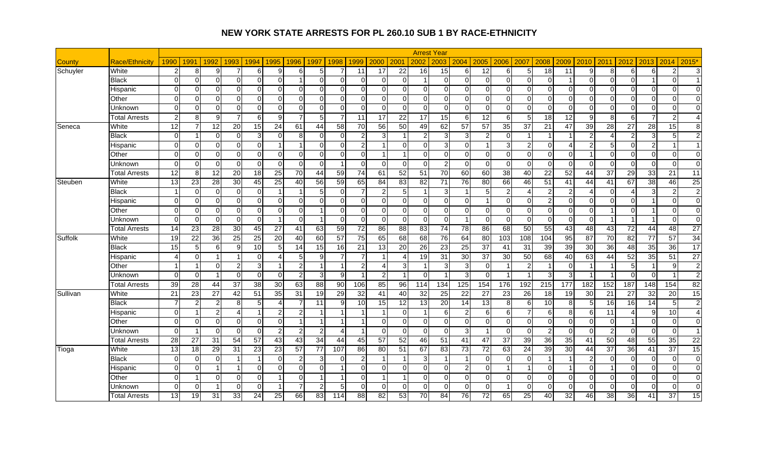|               |                       |                        |                 |                |                 |                 |                 |                 |                 |                 |                 |                 |                        |                 | <b>Arrest Year</b>      |                 |                 |                         |                 |                 |                 |                |                          |                 |                 |                 |                 |
|---------------|-----------------------|------------------------|-----------------|----------------|-----------------|-----------------|-----------------|-----------------|-----------------|-----------------|-----------------|-----------------|------------------------|-----------------|-------------------------|-----------------|-----------------|-------------------------|-----------------|-----------------|-----------------|----------------|--------------------------|-----------------|-----------------|-----------------|-----------------|
| <b>County</b> | <b>Race/Ethnicity</b> | 1990                   | 1991            | 1992           | 1993            | 1994            | 1995            | 1996            | 1997            | 1998            | 1999            | 2000            | 2001                   | 2002            | 2003                    | 2004            | 2005            | 2006                    | 2007            | 2008            | 2009            | 2010           | 2011                     | 2012            | 2013            | 2014            | $2015*$         |
| Schuyler      | White                 | $\overline{2}$         | 8               | 9              |                 | 6               | 9               | $6 \mid$        |                 |                 | 11              | 17              | $\overline{22}$        | 16              | 15                      | 6               | $\overline{12}$ | $6 \overline{6}$        | 5               | 18              | $\overline{11}$ | 9              | 8 <sup>1</sup>           | 6               | 6               | $\overline{2}$  | 3 <sup>l</sup>  |
|               | <b>Black</b>          | $\mathbf 0$            | $\Omega$        | $\Omega$       | $\Omega$        | $\Omega$        | $\mathbf 0$     |                 | U               | $\mathbf 0$     | $\Omega$        | $\overline{0}$  | $\Omega$               |                 | $\overline{0}$          | $\Omega$        | $\overline{0}$  | $\Omega$                | $\Omega$        | $\overline{0}$  |                 | $\Omega$       | $\Omega$                 | $\Omega$        | $\mathbf{1}$    | 0               | $\overline{1}$  |
|               | Hispanic              | $\Omega$               | $\Omega$        | $\Omega$       | $\Omega$        | $\Omega$        | $\Omega$        | $\Omega$        | $\Omega$        | $\Omega$        | $\Omega$        | $\overline{0}$  | $\Omega$               | $\Omega$        | $\Omega$                | $\Omega$        | $\Omega$        | $\Omega$                | $\Omega$        | $\mathbf 0$     | $\Omega$        | $\Omega$       | $\Omega$                 | $\Omega$        | $\Omega$        | $\Omega$        | $\Omega$        |
|               | Other                 | $\Omega$               | $\Omega$        | $\Omega$       | $\Omega$        | $\Omega$        | $\Omega$        | $\Omega$        | $\Omega$        | $\Omega$        | $\Omega$        | $\overline{0}$  | $\Omega$               | $\Omega$        | $\Omega$                | $\Omega$        | $\overline{0}$  | $\Omega$                | $\Omega$        | $\mathbf 0$     | $\Omega$        | $\Omega$       | $\Omega$                 | $\Omega$        | $\mathbf 0$     | $\Omega$        | $\Omega$        |
|               | Unknown               | $\Omega$               | $\Omega$        | $\Omega$       | $\Omega$        | $\Omega$        | $\Omega$        | $\Omega$        | ∩               | $\Omega$        | $\Omega$        | $\Omega$        | $\Omega$               | $\Omega$        | $\Omega$                | $\Omega$        | $\Omega$        | $\Omega$                | $\Omega$        | $\Omega$        | $\Omega$        | $\Omega$       | $\Omega$                 | $\Omega$        | $\Omega$        | $\Omega$        | $\Omega$        |
|               | Total Arrests         | $\overline{2}$         | 8               | 9 <sup>1</sup> | $\overline{7}$  | 6               | 9               | $\overline{7}$  | 5               | $\overline{7}$  | 11              | $\overline{17}$ | 22                     | 17              | 15                      | 6               | $\overline{12}$ | $6 \overline{6}$        | 5               | 18              | 12              | 9              | 8 <sup>1</sup>           | 6               | $\overline{7}$  | $\overline{2}$  | $\overline{4}$  |
| Seneca        | White                 | 12                     | $\overline{7}$  | 12             | 20              | 15              | 24              | 61              | 44              | 58              | 70              | 56              | 50                     | 49              | 62                      | 57              | 57              | 35                      | 37              | 21              | 47              | 39             | 28                       | 27              | 28              | 15              | 8 <sup>1</sup>  |
|               | Black                 | $\mathbf 0$            | 1               | $\Omega$       | $\Omega$        | 3               | $\mathbf 0$     | 8 <sup>1</sup>  | $\Omega$        | $\mathbf 0$     | $\overline{2}$  | 3               |                        | $\mathfrak{p}$  | 3                       | 3               | $\overline{2}$  | $\overline{0}$          |                 |                 |                 | $\overline{2}$ | $\boldsymbol{\varDelta}$ | 2               | $\mathbf{3}$    | $\sqrt{5}$      | 2 <sub>l</sub>  |
|               | Hispanic              | $\mathbf 0$            | $\Omega$        | $\Omega$       | $\Omega$        | $\Omega$        |                 | $\overline{ }$  | ∩               | $\Omega$        | 2               | $\mathbf{1}$    | $\Omega$               | $\Omega$        | 3                       | $\Omega$        | 1               | 3 <sup>1</sup>          | 2               | $\mathbf 0$     | 4               | $\overline{2}$ | 5 <sub>l</sub>           | $\Omega$        | $\overline{c}$  | $\overline{1}$  | 1 <sup>1</sup>  |
|               | Other                 | $\mathbf 0$            | $\Omega$        | $\Omega$       | $\Omega$        | $\Omega$        | $\Omega$        | $\Omega$        | $\Omega$        | $\Omega$        | $\Omega$        | $\mathbf{1}$    | $\overline{1}$         | $\Omega$        | $\Omega$                | $\Omega$        | $\overline{0}$  | $\Omega$                | $\Omega$        | $\mathbf 0$     | $\Omega$        | $\overline{1}$ | $\Omega$                 | $\overline{0}$  | $\mathbf 0$     | $\mathbf 0$     | $\Omega$        |
|               | Unknown               | $\mathbf 0$            | $\Omega$        | $\Omega$       | $\Omega$        | $\Omega$        | $\Omega$        | $\Omega$        | $\Omega$        | $\overline{1}$  | $\Omega$        | $\Omega$        | $\overline{0}$         | $\Omega$        | $\overline{2}$          | $\Omega$        | $\Omega$        | $\Omega$                | $\Omega$        | $\mathbf 0$     | $\mathbf 0$     | $\Omega$       | $\Omega$                 | $\Omega$        | $\Omega$        | $\mathbf 0$     | $\Omega$        |
|               | Total Arrests         | $\overline{12}$        | 8               | 12             | 20              | 18              | $\overline{25}$ | 70              | 44              | 59              | 74              | 61              | 52                     | $\overline{51}$ | $\overline{70}$         | 60              | $\overline{60}$ | $\overline{38}$         | 40              | $\overline{22}$ | 52              | 44             | 37                       | 29              | 33              | $\overline{21}$ | 11              |
| Steuben       | White                 | 13                     | 23              | 28             | 30              | 45              | 25              | 40              | 56              | 59              | 65              | 84              | 83                     | 82              | 71                      | 76              | 80              | 66                      | 46              | 51              | 41              | 44             | 41                       | 67              | 38              | 46              | 25              |
|               | <b>Black</b>          | $\overline{1}$         | $\Omega$        | $\Omega$       | $\overline{0}$  | $\Omega$        |                 | -1              | 5               | $\mathbf 0$     | $\overline{7}$  | $\overline{c}$  | 5 <sub>5</sub>         |                 | 3                       | $\overline{1}$  | $\overline{5}$  | $\overline{2}$          | 4               | $\overline{2}$  | 2               | Δ              | $\Omega$                 | Δ               | $\mathbf{3}$    | $\overline{c}$  | $\overline{2}$  |
|               | Hispanic              | $\Omega$               | $\Omega$        | ΩI             | $\Omega$        | $\Omega$        | $\Omega$        | $\Omega$        | ∩               | $\Omega$        | $\Omega$        | $\overline{0}$  | $\Omega$               | $\Omega$        | $\Omega$                | $\Omega$        | 1               | $\Omega$                | $\Omega$        | $\overline{2}$  | $\Omega$        | $\Omega$       | $\Omega$                 | $\Omega$        | $\overline{1}$  | $\Omega$        | $\Omega$        |
|               | Other                 | $\Omega$               | $\Omega$        | $\Omega$       | $\Omega$        | $\Omega$        | $\overline{0}$  | $\overline{0}$  |                 | $\Omega$        | $\Omega$        | $\overline{0}$  | $\overline{0}$         | $\Omega$        | $\Omega$                | $\Omega$        | $\overline{0}$  | $\overline{0}$          | $\Omega$        | $\mathbf 0$     | 0               | $\Omega$       |                          | $\Omega$        | -1              | $\mathbf 0$     | $\overline{0}$  |
|               | Unknown               | $\Omega$               | $\Omega$        | $\Omega$       | $\Omega$        | $\Omega$        | -1              | $\Omega$        |                 | $\Omega$        | $\Omega$        | $\overline{0}$  | $\Omega$               | $\Omega$        | $\Omega$                | $\overline{1}$  | $\Omega$        | $\overline{0}$          | $\Omega$        | $\Omega$        | $\Omega$        | $\Omega$       |                          | -1              | $\overline{1}$  | $\mathbf 0$     | $\Omega$        |
|               | Total Arrests         | 14                     | 23              | 28             | 30              | 45              | 27              | 41              | 63              | 59              | $\overline{72}$ | 86              | 88                     | 83              | 74                      | 78              | 86              | 68                      | 50              | 55              | 43              | 48             | 43                       | 72              | 44              | 48              | 27              |
| Suffolk       | White                 | $\overline{19}$        | $\overline{22}$ | 36             | $\overline{25}$ | $\overline{25}$ | $\overline{20}$ | 40              | 60              | 57              | $\overline{75}$ | 65              | 68                     | 68              | 76                      | 64              | 80              | 103                     | 108             | 104             | 95              | 87             | 70                       | 82              | $\overline{77}$ | 57              | 34              |
|               | <b>Black</b>          | $\overline{15}$        | 5               | 6 <sup>1</sup> | 9               | 10              | 5               | 14              | 15              | 16              | 21              | 13              | 20                     | 26              | 23                      | 25              | $\overline{37}$ | 41                      | 31              | 39              | 39              | 30             | 36                       | 48              | 35              | 36              | 17              |
|               | Hispanic              | $\boldsymbol{\Lambda}$ | $\overline{0}$  |                |                 | $\Omega$        | 4               | 5 <sub>5</sub>  | q               | 7               | 7               | -1              | $\boldsymbol{\Lambda}$ | 19              | 31                      | 30              | 37              | 30                      | 50              | 68              | 40              | 63             | 44                       | 52              | 35              | 51              | $\overline{27}$ |
|               | Other                 | $\overline{1}$         | $\overline{1}$  | $\Omega$       | $\overline{2}$  | 3               | $\overline{1}$  | $\mathbf{2}$    |                 | 1               | $\overline{2}$  | $\overline{4}$  | 3                      |                 | 3                       | 3               | $\overline{0}$  | $\overline{1}$          | 2               | 1               | $\mathbf 0$     | -1             |                          | 5               | $\overline{1}$  | 9               | 2 <sub>l</sub>  |
|               | Unknown               | 0                      | $\mathbf 0$     |                | $\Omega$        | $\Omega$        | 0               | $\mathbf{2}$    | 3               | 9               | -1              | $\overline{a}$  | $\overline{1}$         | $\Omega$        | $\overline{\mathbf{1}}$ | 3               | $\overline{0}$  | $\overline{\mathbf{1}}$ |                 | 3               | 3               | 1              |                          | $\Omega$        | $\mathbf 0$     | $\overline{1}$  | 2 <sub>l</sub>  |
|               | <b>Total Arrests</b>  | 39                     | 28              | 44             | $\overline{37}$ | 38              | 30              | 63              | 88              | $\overline{90}$ | 106             | 85              | 96                     | 114             | 134                     | 125             | 154             | 176                     | 192             | 215             | 177             | 182            | 152                      | 187             | 148             | 154             | 82              |
| Sullivan      | White                 | $\overline{21}$        | 23              | 27             | 42              | 51              | 35              | 31              | 19              | 29              | 32              | 41              | 40                     | 32              | 25                      | 22              | 27              | 23                      | 26              | 18              | 19              | 30             | 21                       | 27              | 32              | 20              | 15              |
|               | <b>Black</b>          | $\overline{7}$         | $\overline{2}$  | 2              | 8               | 5               | $\overline{4}$  | $\overline{7}$  | 11              | 9               | 10              | 15              | 12                     | 13              | 20                      | 14              | 13              | 8 <sup>1</sup>          | 6               | 10              | 8               | 5              | 16                       | 16              | 14              | $\sqrt{5}$      | 2 <sub>l</sub>  |
|               | Hispanic              | $\mathbf 0$            | 1               | $\overline{2}$ | 4               |                 | $\overline{c}$  | $\mathbf{2}$    |                 | 1               | -1              | $\mathbf{1}$    | $\overline{0}$         |                 | 6                       | $\overline{2}$  | 6               | $6 \overline{6}$        |                 | $\,6\,$         | 8               | 6              | 11                       |                 | 9               | 10              | $\overline{4}$  |
|               | Other                 | $\mathbf 0$            | $\Omega$        | $\Omega$       | $\overline{0}$  | $\Omega$        | $\mathbf 0$     | $\overline{1}$  |                 | -1              |                 | $\overline{0}$  | $\overline{0}$         | $\Omega$        | $\mathbf 0$             | $\mathbf 0$     | $\overline{0}$  | $\Omega$                | $\Omega$        | $\overline{0}$  | 0               | $\overline{0}$ | $\Omega$                 |                 | $\mathbf 0$     | $\mathbf 0$     | $\Omega$        |
|               | Unknown               | $\Omega$               | $\overline{1}$  | $\Omega$       | $\Omega$        | $\Omega$        | $\overline{c}$  | $\overline{2}$  |                 | Δ               | -1              | $\overline{0}$  | $\Omega$               | $\Omega$        | $\Omega$                | 3               | 1               | $\Omega$                | $\Omega$        | $\overline{2}$  | 0               | $\Omega$       | $\overline{2}$           | $\Omega$        | $\Omega$        | $\mathbf 0$     | 1 <sup>1</sup>  |
|               | <b>Total Arrests</b>  | 28                     | 27              | 31             | 54              | 57              | 43              | 43              | 34              | 44              | 45              | 57              | 52                     | 46              | 51                      | 41              | 47              | 37                      | 39              | 36              | 35              | 41             | 50                       | 48              | 55              | 35              | 22              |
| Tioga         | White                 | $\overline{13}$        | 18              | 29             | 31              | $\overline{23}$ | 23              | $\overline{57}$ | $\overline{77}$ | 107             | 86              | 80              | 51                     | 67              | 83                      | $\overline{73}$ | 72              | 63                      | $\overline{24}$ | $\overline{39}$ | $\overline{30}$ | 44             | $\overline{37}$          | $\overline{36}$ | 41              | $\overline{37}$ | 15              |
|               | <b>Black</b>          | $\mathbf 0$            | $\Omega$        | $\Omega$       | 1               |                 | $\mathbf 0$     | $\mathbf{2}$    |                 | $\Omega$        | $\overline{c}$  | $\mathbf{1}$    |                        |                 |                         | -1              | $\overline{0}$  | $\overline{0}$          | $\Omega$        | $\overline{1}$  | -1              | $\overline{2}$ | $\Omega$                 | $\Omega$        | $\overline{0}$  | $\mathbf 0$     | $\overline{0}$  |
|               | Hispanic              | $\Omega$               | $\Omega$        |                |                 | $\Omega$        | $\Omega$        | $\Omega$        | $\Omega$        | -1              | $\Omega$        | $\overline{0}$  | $\Omega$               | $\Omega$        | $\Omega$                | $\overline{2}$  | $\overline{0}$  | $\overline{1}$          |                 | $\Omega$        |                 | $\Omega$       |                          | $\Omega$        | $\Omega$        | $\Omega$        | $\Omega$        |
|               | Other                 | $\mathbf 0$            | -1              | $\Omega$       | $\Omega$        | $\Omega$        |                 | $\overline{0}$  |                 | 1               | $\mathbf 0$     | $\mathbf{1}$    |                        | $\Omega$        | $\Omega$                | $\Omega$        | $\overline{0}$  | $\overline{0}$          | $\Omega$        | $\mathbf 0$     | $\Omega$        | 0              | $\overline{0}$           | $\Omega$        | $\overline{0}$  | 0               | $\overline{0}$  |
|               | Unknown               | 0                      | $\Omega$        |                | $\Omega$        | $\Omega$        |                 | $\overline{7}$  |                 | 5               | $\mathbf 0$     | $\overline{0}$  | $\mathbf 0$            | $\Omega$        | $\Omega$                | 0               | $\overline{0}$  | $\overline{1}$          | $\Omega$        | $\mathbf 0$     | 0               | $\Omega$       | $\Omega$                 | $\Omega$        | $\mathbf 0$     | 0               | $\overline{0}$  |
|               | <b>Total Arrests</b>  | 13                     | 19              | 31             | 33              | 24              | 25              | 66              | 83              | 114             | 88              | 82              | 53                     | $\overline{70}$ | 84                      | 76              | $\overline{72}$ | 65                      | 25              | 40              | 32              | 46             | 38                       | 36              | 41              | 37              | 15              |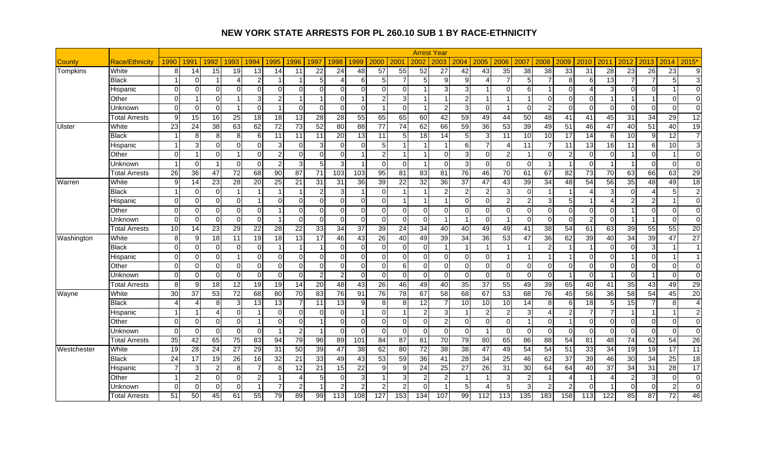|             |                       |                        |                |                |                 |                 |                 |                |                 |                  |                         |                 |                 |                 | <b>Arrest Year</b>      |                         |                 |                 |          |                 |                 |                |                          |                 |                 |                 |                |
|-------------|-----------------------|------------------------|----------------|----------------|-----------------|-----------------|-----------------|----------------|-----------------|------------------|-------------------------|-----------------|-----------------|-----------------|-------------------------|-------------------------|-----------------|-----------------|----------|-----------------|-----------------|----------------|--------------------------|-----------------|-----------------|-----------------|----------------|
| County      | <b>Race/Ethnicity</b> | 1990                   | 1991           | 1992           | 1993            | 1994            | 1995            | 1996           | 1997            | 1998             | 1999                    | 2000            | 2001            | 2002            | 2003                    | 2004                    | 2005            | 2006            | 2007     | 2008            | 2009            | 2010           | 2011                     | 2012            | 2013            | 2014            | $2015*$        |
| Tompkins    | White                 | 8                      | 14             | 15             | 19              | 13              | 14              | 11             | 22              | 24               | 48                      | 57              | 55              | 52              | 27                      | 42                      | 43              | 35              | 38       | 38              | 33              | 31             | 28                       | 23              | 26              | $\overline{23}$ | 9 <sub>l</sub> |
|             | Black                 |                        | O              |                | Δ               | $\overline{2}$  |                 |                |                 | Δ                | 6                       | 5 <sup>5</sup>  | $\overline{7}$  |                 | 9                       | 9                       |                 | $\overline{7}$  | 5        | $\overline{7}$  | 8               | 6              | $\overline{13}$          |                 | $\overline{7}$  | 5               | $\overline{3}$ |
|             | Hispanic              | $\mathbf 0$            | $\Omega$       | $\Omega$       | $\Omega$        | $\Omega$        | $\mathbf 0$     | 0              | U               | $\overline{0}$   | $\Omega$                | $\overline{0}$  | $\overline{0}$  |                 | 3                       | 3                       |                 | $\Omega$        | 61       | 1               | $\Omega$        | Δ              | 3                        | $\Omega$        | $\mathbf 0$     |                 | $\overline{0}$ |
|             | Other                 | $\Omega$               |                | $\Omega$       | 1               | 3               | $\overline{c}$  |                |                 | $\Omega$         | -1                      | $\overline{a}$  | $\mathbf{3}$    |                 | -1                      | $\overline{2}$          |                 | $\overline{1}$  |          | $\Omega$        | $\Omega$        | $\Omega$       |                          |                 | 1               | $\Omega$        | $\Omega$       |
|             | Unknown               | $\Omega$               | $\Omega$       | $\Omega$       | -1              | $\Omega$        |                 | $\Omega$       | $\Omega$        | $\mathbf 0$      | $\mathbf 0$             | $\mathbf{1}$    | $\overline{0}$  |                 | $\overline{2}$          | 3                       | $\overline{0}$  | $\overline{1}$  | $\Omega$ | $\mathbf{2}$    | $\Omega$        | $\Omega$       | $\overline{0}$           | $\Omega$        | $\Omega$        | $\mathbf 0$     | $\overline{0}$ |
|             | Total Arrests         | 9                      | 15             | 16             | $\overline{25}$ | 18              | $\overline{18}$ | 13             | $\overline{28}$ | 28               | 55                      | 65              | 65              | 60              | $\overline{42}$         | 59                      | 49              | 44              | 50       | 48              | 41              | 41             | 45                       | 31              | $\overline{34}$ | 29              | 12             |
| Ulster      | White                 | 23                     | 24             | 38             | 63              | 62              | 72              | 73             | 52              | 80               | 88                      | 77              | 74              | 62              | 66                      | 59                      | 36              | 53              | 39       | 49              | 51              | 46             | 47                       | 40              | 51              | 40              | 19             |
|             | <b>Black</b>          |                        | 8              | 8 <sup>1</sup> | 8 <sup>1</sup>  | 6               | 11              | 11             | 11              | $\overline{20}$  | 13                      | 11              | 5 <sub>l</sub>  | 18              | 14                      | 5                       | 3               | 11              | 10       | 10              | 17              | 14             | 6                        | 10              | 9               | 12              | $\overline{7}$ |
|             | Hispanic              | $\overline{1}$         | 3              | $\Omega$       | $\Omega$        | $\Omega$        | 3               | 0              | З               | $\Omega$         | $\mathbf 0$             | 5               |                 |                 | $\overline{1}$          | 6                       | $\overline{7}$  | $\overline{4}$  | 11       | 7               | 11              | 13             | 16                       | 11              | 6               | 10              | 3 <sup>l</sup> |
|             | Other                 | $\Omega$               | -1             | $\Omega$       | 1               | $\Omega$        | $\overline{c}$  | $\Omega$       | U               | $\Omega$         | -1                      | $\overline{2}$  | $\overline{1}$  |                 | $\Omega$                | 3                       | $\Omega$        | $\overline{2}$  |          | $\Omega$        | 2               | $\Omega$       | $\Omega$                 |                 | $\Omega$        | $\overline{1}$  | $\Omega$       |
|             | Unknown               | $\overline{1}$         | $\Omega$       |                | $\Omega$        | $\Omega$        | $\overline{c}$  | $\mathbf{3}$   | 5               | 3                | $\overline{\mathbf{1}}$ | $\Omega$        | $\overline{0}$  |                 | $\Omega$                | 3                       | $\Omega$        | $\overline{0}$  | $\Omega$ | $\overline{1}$  | -1              | $\Omega$       |                          | -1              | $\Omega$        | $\mathbf 0$     | $\Omega$       |
|             | <b>Total Arrests</b>  | 26                     | 36             | 47             | $\overline{72}$ | 68              | $\overline{90}$ | 87             | 71              | 103              | 103                     | 95              | 81              | $\overline{83}$ | 81                      | 76                      | $\overline{46}$ | $\overline{70}$ | 61       | 67              | 82              | 73             | $\overline{70}$          | 63              | 66              | 63              | 29             |
| Warren      | White                 | 9                      | 14             | 23             | $\overline{28}$ | 20              | 25              | 21             | 31              | 31               | 36                      | 39              | 22              | 32              | 36                      | 37                      | 47              | 43              | 39       | 34              | 48              | 54             | 56                       | 35              | 48              | 49              | 18             |
|             | <b>Black</b>          |                        | $\Omega$       | $\Omega$       | -1              |                 |                 |                |                 | 3                | $\overline{1}$          | $\overline{0}$  |                 |                 | $\overline{2}$          | $\overline{2}$          | $\overline{a}$  | 3               | $\Omega$ | 1               |                 | Δ              | 3                        | $\Omega$        | $\overline{A}$  | 5               | 2 <sub>l</sub> |
|             | Hispanic              | $\Omega$               | $\Omega$       | $\Omega$       | $\Omega$        |                 | $\Omega$        | $\Omega$       | U               | $\Omega$         | $\Omega$                | $\overline{0}$  |                 |                 | $\overline{\mathbf{1}}$ | $\Omega$                | $\overline{0}$  | $\overline{2}$  | 2        | 3               | 5               | -1             | $\boldsymbol{\varDelta}$ | $\overline{2}$  | $\overline{2}$  | -1              | $\Omega$       |
|             | Other                 | $\Omega$               | $\Omega$       | $\Omega$       | $\Omega$        | $\Omega$        |                 | $\Omega$       | $\Omega$        | $\Omega$         | $\Omega$                | $\overline{0}$  | $\overline{0}$  | $\Omega$        | $\Omega$                | $\Omega$                | $\overline{0}$  | $\Omega$        | $\Omega$ | $\mathbf 0$     | $\Omega$        | $\Omega$       | $\Omega$                 |                 | $\Omega$        | $\mathbf 0$     | $\Omega$       |
|             | Unknown               | $\Omega$               | $\Omega$       | $\Omega$       | $\Omega$        | $\Omega$        |                 | $\Omega$       | $\Omega$        | $\Omega$         | $\Omega$                | $\Omega$        | $\overline{0}$  | $\Omega$        | $\overline{1}$          | $\overline{\mathbf{1}}$ | $\Omega$        | $\overline{1}$  | $\Omega$ | $\mathbf 0$     | $\Omega$        | 2              | $\Omega$                 | -1              | -1              | $\mathbf 0$     | $\Omega$       |
|             | <b>Total Arrests</b>  | 10                     | 14             | 23             | 29              | $\overline{22}$ | 28              | 22             | $\overline{33}$ | $\overline{34}$  | 37                      | 39              | 24              | 34              | 40                      | 40                      | 49              | 49              | 41       | $\overline{38}$ | 54              | 61             | 63                       | 39              | 55              | 55              | 20             |
| Washington  | White                 | 8                      | 9              | 18             | 11              | 19              | 18              | 13             | 17              | $\overline{46}$  | 43                      | 26              | 40              | 49              | $\overline{39}$         | 34                      | 36              | 53              | 47       | 36              | 62              | 39             | 40                       | 34              | 39              | 47              | 27             |
|             | <b>Black</b>          | $\Omega$               | $\Omega$       | $\Omega$       | $\Omega$        | $\Omega$        |                 | $\overline{1}$ |                 | $\Omega$         | $\Omega$                | $\overline{0}$  | $\Omega$        | $\Omega$        | $\overline{1}$          | $\overline{1}$          |                 | $\overline{1}$  |          | $\overline{2}$  |                 | -1             | $\Omega$                 | $\Omega$        | 3               | $\overline{1}$  | $\overline{1}$ |
|             | Hispanic              | $\mathbf 0$            | $\Omega$       | $\Omega$       | 1               | $\Omega$        | 0               | 0              | ∩               | $\overline{0}$   | $\Omega$                | $\overline{0}$  | $\overline{0}$  | $\Omega$        | $\mathbf 0$             | $\Omega$                | $\overline{0}$  | $\overline{1}$  |          | 1               | -1              | $\Omega$       | $\Omega$                 |                 | $\mathbf 0$     | $\overline{1}$  | $\overline{ }$ |
|             | Other                 | $\Omega$               | $\Omega$       | $\Omega$       | $\Omega$        | $\Omega$        | $\mathbf 0$     | $\overline{0}$ | $\Omega$        | $\Omega$         | $\Omega$                | $\overline{0}$  | 6               | $\Omega$        | $\Omega$                | $\Omega$                | $\overline{0}$  | $\Omega$        | $\Omega$ | $\overline{0}$  | $\mathbf 0$     | $\Omega$       | $\Omega$                 | $\Omega$        | $\mathbf 0$     | $\mathbf 0$     | $\Omega$       |
|             | Unknown               | $\mathbf 0$            | $\overline{0}$ | $\Omega$       | $\Omega$        | $\Omega$        | $\mathbf 0$     | $\mathbf 0$    |                 | $\overline{2}$   | $\Omega$                | $\overline{0}$  | $\overline{0}$  | $\Omega$        | $\mathbf 0$             | 0                       | $\overline{0}$  | $\overline{0}$  | $\Omega$ | $\mathbf 0$     | $\overline{1}$  | $\overline{0}$ |                          | $\Omega$        | -1              | $\mathbf 0$     | $\Omega$       |
|             | <b>Total Arrests</b>  | 8                      | 9              | 18             | $\overline{12}$ | 19              | 19              | 14             | 20              | 48               | 43                      | 26              | 46              | 49              | 40                      | 35                      | 37              | 55              | 49       | 39              | 65              | 40             | 41                       | 35              | 43              | 49              | 29             |
| Wayne       | White                 | $\overline{30}$        | 37             | 53             | $\overline{72}$ | 68              | 80              | 70             | 83              | $\overline{76}$  | 91                      | $\overline{76}$ | $\overline{78}$ | 67              | 58                      | 68                      | 67              | 53              | 68       | 76              | 45              | 56             | $\overline{36}$          | 58              | 54              | 45              | 20             |
|             | <b>Black</b>          | $\boldsymbol{\Lambda}$ | Δ              | 8              | $\mathbf{3}$    | 13              | 13              | $\overline{7}$ | 11              | 13               | 9                       | 8               | 8               | 12              | $\overline{7}$          | 10                      | 10              | 10              | 14       | 8               | 6               | 18             | 5                        | 15              | $\overline{7}$  | 8               | $\overline{4}$ |
|             | Hispanic              | 1                      | -1             | Δ              | $\overline{0}$  |                 | $\mathbf 0$     | 0              | ∩               | $\mathbf 0$      | $\overline{1}$          | $\overline{0}$  |                 |                 | 3                       | $\overline{\mathbf{1}}$ | $\overline{c}$  | $\overline{2}$  | 3        | $\overline{4}$  | $\overline{2}$  | 7              | $\overline{7}$           |                 | $\overline{1}$  | -1              | 2 <sub>l</sub> |
|             | Other                 | $\Omega$               | $\Omega$       | $\Omega$       | $\Omega$        |                 | 0               | $\overline{0}$ |                 | $\Omega$         | $\Omega$                | $\overline{0}$  | $\overline{0}$  | $\Omega$        | $\overline{c}$          | $\Omega$                | $\overline{0}$  | $\overline{0}$  |          | $\mathbf 0$     | $\overline{1}$  | $\overline{0}$ | $\Omega$                 | $\Omega$        | $\mathbf 0$     | $\mathbf 0$     | $\Omega$       |
|             | Unknown               | $\Omega$               | $\Omega$       | $\Omega$       | $\Omega$        | $\Omega$        |                 | $\overline{2}$ |                 | $\Omega$         | $\Omega$                | $\mathbf 0$     | $\overline{0}$  | $\Omega$        | $\mathbf 0$             | $\Omega$                | 1               | $\Omega$        | $\Omega$ | $\overline{0}$  | 0               | $\Omega$       | $\Omega$                 | $\Omega$        | $\Omega$        | $\mathbf 0$     | $\Omega$       |
|             | <b>Total Arrests</b>  | 35                     | 42             | 65             | 75              | 83              | 94              | 79             | 96              | 89               | 101                     | $\overline{84}$ | 87              | 81              | 70                      | 79                      | 80              | 65              | 86       | 88              | 54              | 81             | 48                       | $\overline{74}$ | 62              | 54              | 26             |
| Westchester | White                 | 19                     | 28             | 24             | 27              | 29              | 31              | 50             | 39              | 47               | 38                      | 62              | 80              | $\overline{72}$ | 38                      | 38                      | 47              | 49              | 54       | 54              | 51              | 33             | 34                       | 19              | 19              | $\overline{17}$ | 11             |
|             | <b>Black</b>          | 24                     | 17             | 19             | $\overline{26}$ | 16              | 32              | 21             | 33              | 49               | 43                      | 53              | 59              | 36              | 41                      | 28                      | $\overline{34}$ | 25              | 46       | 62              | $\overline{37}$ | 39             | 46                       | 30              | 34              | $\overline{25}$ | 18             |
|             | Hispanic              |                        | 3              | $\overline{2}$ | 8               | 7               | 8               | 12             | 21              | 15               | 22                      | 9               | 9               | 24              | 25                      | 27                      | 26              | 31              | 30       | 64              | 64              | 40             | 37                       | 34              | 31              | $\overline{28}$ | 17             |
|             | Other                 | $\overline{1}$         | $\overline{2}$ | $\Omega$       | $\Omega$        | 2               |                 | Δ              |                 | $\Omega$         | 3                       |                 | 3               |                 | $\overline{2}$          |                         |                 | 3               |          |                 | Δ               |                | $\boldsymbol{\varDelta}$ | 2               | $\mathbf{3}$    | $\mathbf 0$     | $\overline{0}$ |
|             | Jnknown               | $\mathbf 0$            | $\overline{0}$ | $\Omega$       | $\overline{0}$  |                 |                 | $\overline{2}$ |                 | $\overline{2}$   | $\overline{2}$          | $\overline{2}$  | $\overline{2}$  |                 |                         | 5                       | 4               | 5               |          | $\overline{2}$  |                 | 0              |                          | $\overline{0}$  | $\mathbf 0$     | $\overline{c}$  | $\overline{0}$ |
|             | <b>Total Arrests</b>  | 51                     | 50             | 45             | 61              | 55              | 79              | 89             | 99              | $\overline{113}$ | 108                     | 127             | 153             | 134             | 107                     | 99                      | 112             | 113             | 135      | 183             | 158             | 113            | $\overline{122}$         | 85              | 87              | 72              | 46             |